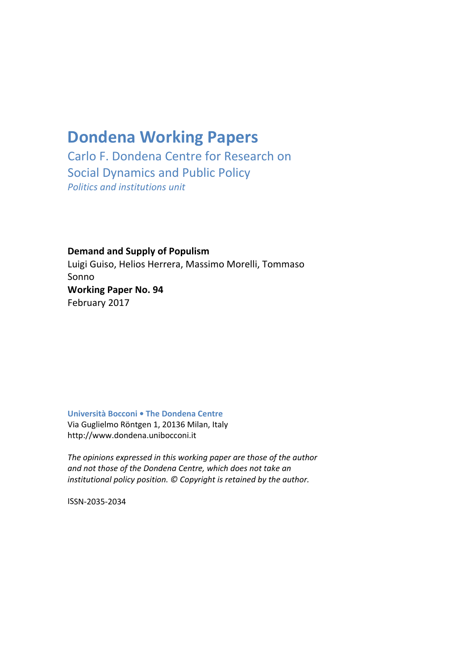# **Dondena Working Papers**

Carlo F. Dondena Centre for Research on Social Dynamics and Public Policy *Politics and institutions unit*

**Demand and Supply of Populism** Luigi Guiso, Helios Herrera, Massimo Morelli, Tommaso Sonno **Working Paper No. 9õ** February 2017

**Università Bocconi • The Dondena Centre** Via Guglielmo Röntgen 1, 20136 Milan, Italy http://www.dondena.unibocconi.it

*The opinions expressed in this working paper are those of the author and not those of the Dondena Centre, which does not take an institutional policy position. © Copyright is retained by the author.*

ISSN‐2035‐2034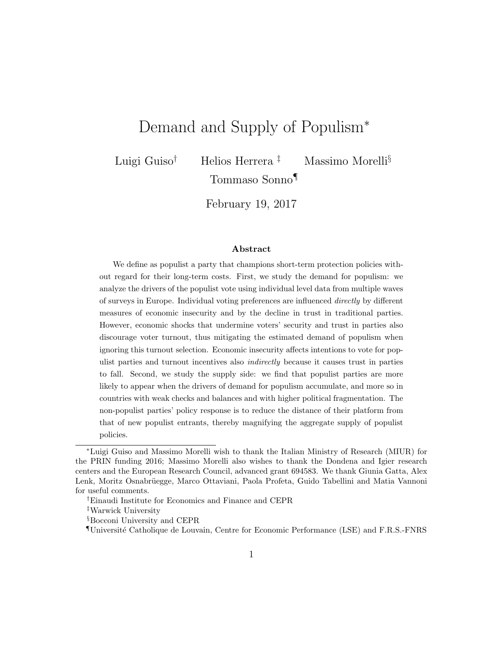# Demand and Supply of Populism<sup>\*</sup>

Luigi Guiso<sup>†</sup> Helios Herrera<sup>‡</sup> Massimo Morelli<sup>§</sup> Tommaso Sonno¶

February 19, 2017

#### Abstract

We define as populist a party that champions short-term protection policies without regard for their long-term costs. First, we study the demand for populism: we analyze the drivers of the populist vote using individual level data from multiple waves of surveys in Europe. Individual voting preferences are influenced directly by different measures of economic insecurity and by the decline in trust in traditional parties. However, economic shocks that undermine voters' security and trust in parties also discourage voter turnout, thus mitigating the estimated demand of populism when ignoring this turnout selection. Economic insecurity affects intentions to vote for populist parties and turnout incentives also indirectly because it causes trust in parties to fall. Second, we study the supply side: we find that populist parties are more likely to appear when the drivers of demand for populism accumulate, and more so in countries with weak checks and balances and with higher political fragmentation. The non-populist parties' policy response is to reduce the distance of their platform from that of new populist entrants, thereby magnifying the aggregate supply of populist policies.

<sup>∗</sup>Luigi Guiso and Massimo Morelli wish to thank the Italian Ministry of Research (MIUR) for the PRIN funding 2016; Massimo Morelli also wishes to thank the Dondena and Igier research centers and the European Research Council, advanced grant 694583. We thank Giunia Gatta, Alex Lenk, Moritz Osnabrüegge, Marco Ottaviani, Paola Profeta, Guido Tabellini and Matia Vannoni for useful comments.

<sup>†</sup>Einaudi Institute for Economics and Finance and CEPR

<sup>‡</sup>Warwick University

<sup>§</sup>Bocconi University and CEPR

<sup>¶</sup>Universit´e Catholique de Louvain, Centre for Economic Performance (LSE) and F.R.S.-FNRS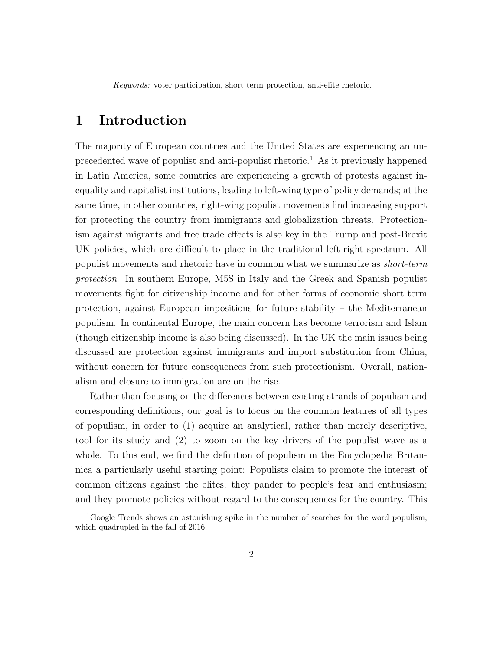Keywords: voter participation, short term protection, anti-elite rhetoric.

# 1 Introduction

The majority of European countries and the United States are experiencing an unprecedented wave of populist and anti-populist rhetoric.<sup>1</sup> As it previously happened in Latin America, some countries are experiencing a growth of protests against inequality and capitalist institutions, leading to left-wing type of policy demands; at the same time, in other countries, right-wing populist movements find increasing support for protecting the country from immigrants and globalization threats. Protectionism against migrants and free trade effects is also key in the Trump and post-Brexit UK policies, which are difficult to place in the traditional left-right spectrum. All populist movements and rhetoric have in common what we summarize as short-term protection. In southern Europe, M5S in Italy and the Greek and Spanish populist movements fight for citizenship income and for other forms of economic short term protection, against European impositions for future stability – the Mediterranean populism. In continental Europe, the main concern has become terrorism and Islam (though citizenship income is also being discussed). In the UK the main issues being discussed are protection against immigrants and import substitution from China, without concern for future consequences from such protectionism. Overall, nationalism and closure to immigration are on the rise.

Rather than focusing on the differences between existing strands of populism and corresponding definitions, our goal is to focus on the common features of all types of populism, in order to (1) acquire an analytical, rather than merely descriptive, tool for its study and (2) to zoom on the key drivers of the populist wave as a whole. To this end, we find the definition of populism in the Encyclopedia Britannica a particularly useful starting point: Populists claim to promote the interest of common citizens against the elites; they pander to people's fear and enthusiasm; and they promote policies without regard to the consequences for the country. This

<sup>&</sup>lt;sup>1</sup>Google Trends shows an astonishing spike in the number of searches for the word populism, which quadrupled in the fall of 2016.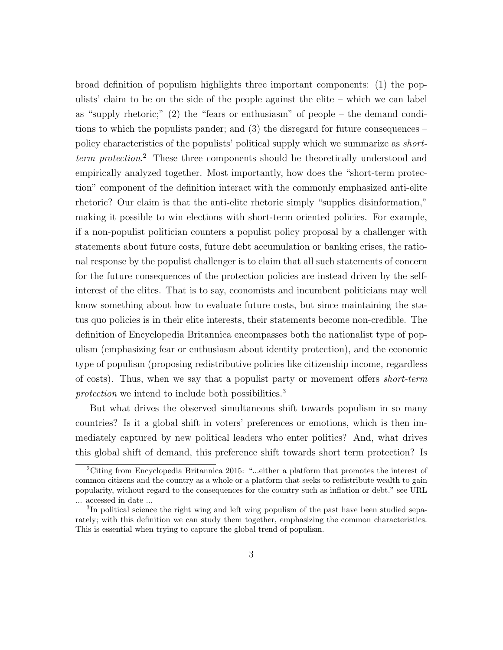broad definition of populism highlights three important components: (1) the populists' claim to be on the side of the people against the elite – which we can label as "supply rhetoric;" (2) the "fears or enthusiasm" of people – the demand conditions to which the populists pander; and  $(3)$  the disregard for future consequences – policy characteristics of the populists' political supply which we summarize as *short*term protection. <sup>2</sup> These three components should be theoretically understood and empirically analyzed together. Most importantly, how does the "short-term protection" component of the definition interact with the commonly emphasized anti-elite rhetoric? Our claim is that the anti-elite rhetoric simply "supplies disinformation," making it possible to win elections with short-term oriented policies. For example, if a non-populist politician counters a populist policy proposal by a challenger with statements about future costs, future debt accumulation or banking crises, the rational response by the populist challenger is to claim that all such statements of concern for the future consequences of the protection policies are instead driven by the selfinterest of the elites. That is to say, economists and incumbent politicians may well know something about how to evaluate future costs, but since maintaining the status quo policies is in their elite interests, their statements become non-credible. The definition of Encyclopedia Britannica encompasses both the nationalist type of populism (emphasizing fear or enthusiasm about identity protection), and the economic type of populism (proposing redistributive policies like citizenship income, regardless of costs). Thus, when we say that a populist party or movement offers short-term protection we intend to include both possibilities.<sup>3</sup>

But what drives the observed simultaneous shift towards populism in so many countries? Is it a global shift in voters' preferences or emotions, which is then immediately captured by new political leaders who enter politics? And, what drives this global shift of demand, this preference shift towards short term protection? Is

<sup>2</sup>Citing from Encyclopedia Britannica 2015: "...either a platform that promotes the interest of common citizens and the country as a whole or a platform that seeks to redistribute wealth to gain popularity, without regard to the consequences for the country such as inflation or debt." see URL ... accessed in date ...

<sup>&</sup>lt;sup>3</sup>In political science the right wing and left wing populism of the past have been studied separately; with this definition we can study them together, emphasizing the common characteristics. This is essential when trying to capture the global trend of populism.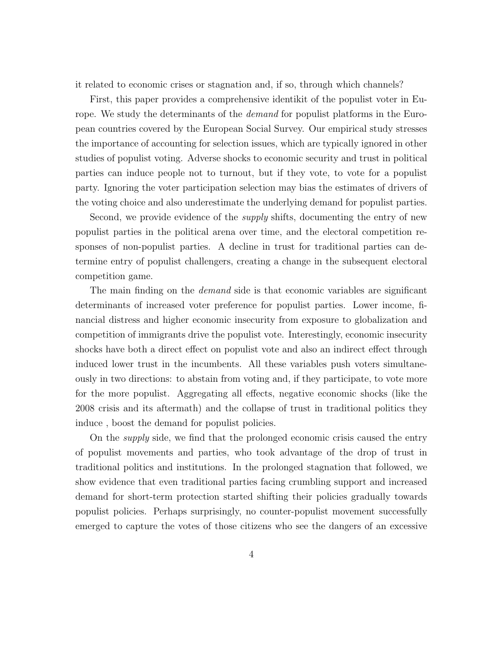it related to economic crises or stagnation and, if so, through which channels?

First, this paper provides a comprehensive identikit of the populist voter in Europe. We study the determinants of the *demand* for populist platforms in the European countries covered by the European Social Survey. Our empirical study stresses the importance of accounting for selection issues, which are typically ignored in other studies of populist voting. Adverse shocks to economic security and trust in political parties can induce people not to turnout, but if they vote, to vote for a populist party. Ignoring the voter participation selection may bias the estimates of drivers of the voting choice and also underestimate the underlying demand for populist parties.

Second, we provide evidence of the *supply* shifts, documenting the entry of new populist parties in the political arena over time, and the electoral competition responses of non-populist parties. A decline in trust for traditional parties can determine entry of populist challengers, creating a change in the subsequent electoral competition game.

The main finding on the *demand* side is that economic variables are significant determinants of increased voter preference for populist parties. Lower income, financial distress and higher economic insecurity from exposure to globalization and competition of immigrants drive the populist vote. Interestingly, economic insecurity shocks have both a direct effect on populist vote and also an indirect effect through induced lower trust in the incumbents. All these variables push voters simultaneously in two directions: to abstain from voting and, if they participate, to vote more for the more populist. Aggregating all effects, negative economic shocks (like the 2008 crisis and its aftermath) and the collapse of trust in traditional politics they induce , boost the demand for populist policies.

On the supply side, we find that the prolonged economic crisis caused the entry of populist movements and parties, who took advantage of the drop of trust in traditional politics and institutions. In the prolonged stagnation that followed, we show evidence that even traditional parties facing crumbling support and increased demand for short-term protection started shifting their policies gradually towards populist policies. Perhaps surprisingly, no counter-populist movement successfully emerged to capture the votes of those citizens who see the dangers of an excessive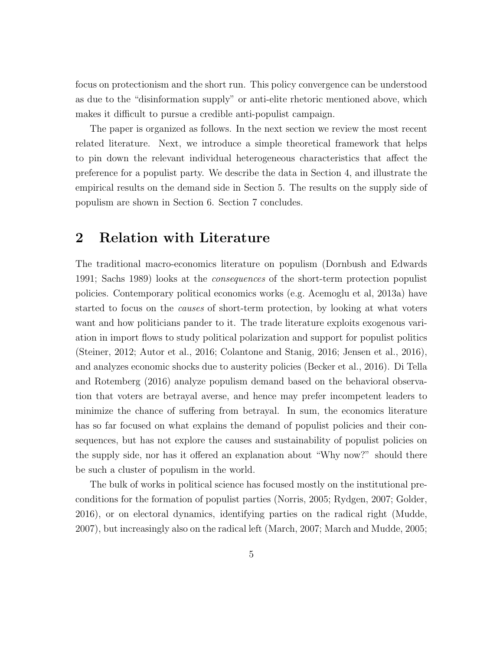focus on protectionism and the short run. This policy convergence can be understood as due to the "disinformation supply" or anti-elite rhetoric mentioned above, which makes it difficult to pursue a credible anti-populist campaign.

The paper is organized as follows. In the next section we review the most recent related literature. Next, we introduce a simple theoretical framework that helps to pin down the relevant individual heterogeneous characteristics that affect the preference for a populist party. We describe the data in Section 4, and illustrate the empirical results on the demand side in Section 5. The results on the supply side of populism are shown in Section 6. Section 7 concludes.

### 2 Relation with Literature

The traditional macro-economics literature on populism (Dornbush and Edwards 1991; Sachs 1989) looks at the consequences of the short-term protection populist policies. Contemporary political economics works (e.g. Acemoglu et al, 2013a) have started to focus on the causes of short-term protection, by looking at what voters want and how politicians pander to it. The trade literature exploits exogenous variation in import flows to study political polarization and support for populist politics (Steiner, 2012; Autor et al., 2016; Colantone and Stanig, 2016; Jensen et al., 2016), and analyzes economic shocks due to austerity policies (Becker et al., 2016). Di Tella and Rotemberg (2016) analyze populism demand based on the behavioral observation that voters are betrayal averse, and hence may prefer incompetent leaders to minimize the chance of suffering from betrayal. In sum, the economics literature has so far focused on what explains the demand of populist policies and their consequences, but has not explore the causes and sustainability of populist policies on the supply side, nor has it offered an explanation about "Why now?" should there be such a cluster of populism in the world.

The bulk of works in political science has focused mostly on the institutional preconditions for the formation of populist parties (Norris, 2005; Rydgen, 2007; Golder, 2016), or on electoral dynamics, identifying parties on the radical right (Mudde, 2007), but increasingly also on the radical left (March, 2007; March and Mudde, 2005;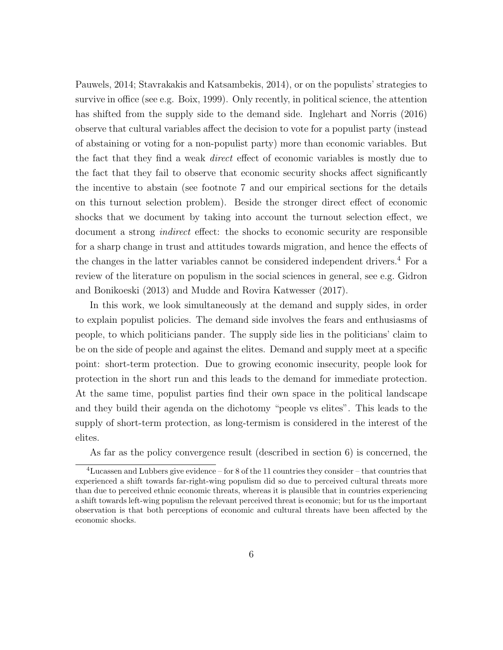Pauwels, 2014; Stavrakakis and Katsambekis, 2014), or on the populists' strategies to survive in office (see e.g. Boix, 1999). Only recently, in political science, the attention has shifted from the supply side to the demand side. Inglehart and Norris (2016) observe that cultural variables affect the decision to vote for a populist party (instead of abstaining or voting for a non-populist party) more than economic variables. But the fact that they find a weak direct effect of economic variables is mostly due to the fact that they fail to observe that economic security shocks affect significantly the incentive to abstain (see footnote 7 and our empirical sections for the details on this turnout selection problem). Beside the stronger direct effect of economic shocks that we document by taking into account the turnout selection effect, we document a strong indirect effect: the shocks to economic security are responsible for a sharp change in trust and attitudes towards migration, and hence the effects of the changes in the latter variables cannot be considered independent drivers.<sup>4</sup> For a review of the literature on populism in the social sciences in general, see e.g. Gidron and Bonikoeski (2013) and Mudde and Rovira Katwesser (2017).

In this work, we look simultaneously at the demand and supply sides, in order to explain populist policies. The demand side involves the fears and enthusiasms of people, to which politicians pander. The supply side lies in the politicians' claim to be on the side of people and against the elites. Demand and supply meet at a specific point: short-term protection. Due to growing economic insecurity, people look for protection in the short run and this leads to the demand for immediate protection. At the same time, populist parties find their own space in the political landscape and they build their agenda on the dichotomy "people vs elites". This leads to the supply of short-term protection, as long-termism is considered in the interest of the elites.

As far as the policy convergence result (described in section 6) is concerned, the

 $4$ Lucassen and Lubbers give evidence – for 8 of the 11 countries they consider – that countries that experienced a shift towards far-right-wing populism did so due to perceived cultural threats more than due to perceived ethnic economic threats, whereas it is plausible that in countries experiencing a shift towards left-wing populism the relevant perceived threat is economic; but for us the important observation is that both perceptions of economic and cultural threats have been affected by the economic shocks.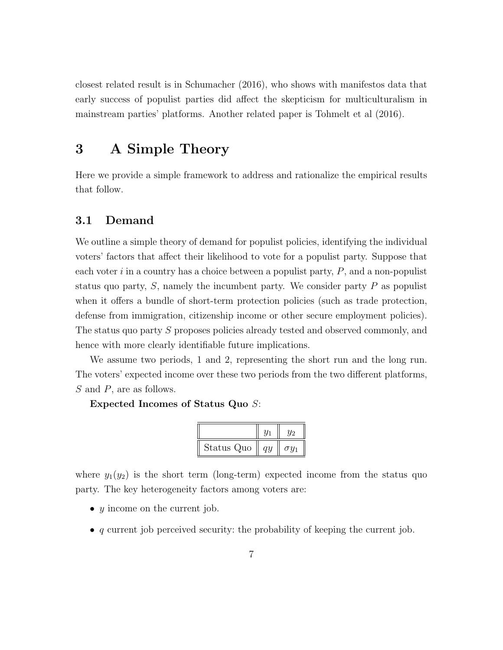closest related result is in Schumacher (2016), who shows with manifestos data that early success of populist parties did affect the skepticism for multiculturalism in mainstream parties' platforms. Another related paper is Tohmelt et al (2016).

### 3 A Simple Theory

Here we provide a simple framework to address and rationalize the empirical results that follow.

### 3.1 Demand

We outline a simple theory of demand for populist policies, identifying the individual voters' factors that affect their likelihood to vote for a populist party. Suppose that each voter  $i$  in a country has a choice between a populist party,  $P$ , and a non-populist status quo party,  $S$ , namely the incumbent party. We consider party  $P$  as populist when it offers a bundle of short-term protection policies (such as trade protection, defense from immigration, citizenship income or other secure employment policies). The status quo party S proposes policies already tested and observed commonly, and hence with more clearly identifiable future implications.

We assume two periods, 1 and 2, representing the short run and the long run. The voters' expected income over these two periods from the two different platforms, S and P, are as follows.

#### Expected Incomes of Status Quo S:

| Status Quo | au | $\sigma u_1$ |
|------------|----|--------------|

where  $y_1(y_2)$  is the short term (long-term) expected income from the status quo party. The key heterogeneity factors among voters are:

- $y$  income on the current job.
- $\bullet$  q current job perceived security: the probability of keeping the current job.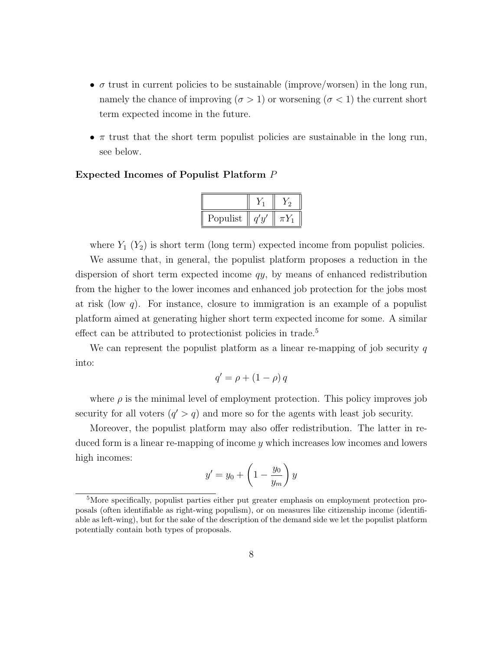- $\bullet$   $\sigma$  trust in current policies to be sustainable (improve/worsen) in the long run, namely the chance of improving ( $\sigma > 1$ ) or worsening ( $\sigma < 1$ ) the current short term expected income in the future.
- $\pi$  trust that the short term populist policies are sustainable in the long run, see below.

#### Expected Incomes of Populist Platform P

| Populist |  |
|----------|--|

where  $Y_1$   $(Y_2)$  is short term (long term) expected income from populist policies.

We assume that, in general, the populist platform proposes a reduction in the dispersion of short term expected income qy, by means of enhanced redistribution from the higher to the lower incomes and enhanced job protection for the jobs most at risk (low  $q$ ). For instance, closure to immigration is an example of a populist platform aimed at generating higher short term expected income for some. A similar effect can be attributed to protectionist policies in trade.<sup>5</sup>

We can represent the populist platform as a linear re-mapping of job security  $q$ into:

$$
q' = \rho + (1 - \rho) q
$$

where  $\rho$  is the minimal level of employment protection. This policy improves job security for all voters  $(q' > q)$  and more so for the agents with least job security.

Moreover, the populist platform may also offer redistribution. The latter in reduced form is a linear re-mapping of income  $\gamma$  which increases low incomes and lowers high incomes:

$$
y' = y_0 + \left(1 - \frac{y_0}{y_m}\right)y
$$

<sup>&</sup>lt;sup>5</sup>More specifically, populist parties either put greater emphasis on employment protection proposals (often identifiable as right-wing populism), or on measures like citizenship income (identifiable as left-wing), but for the sake of the description of the demand side we let the populist platform potentially contain both types of proposals.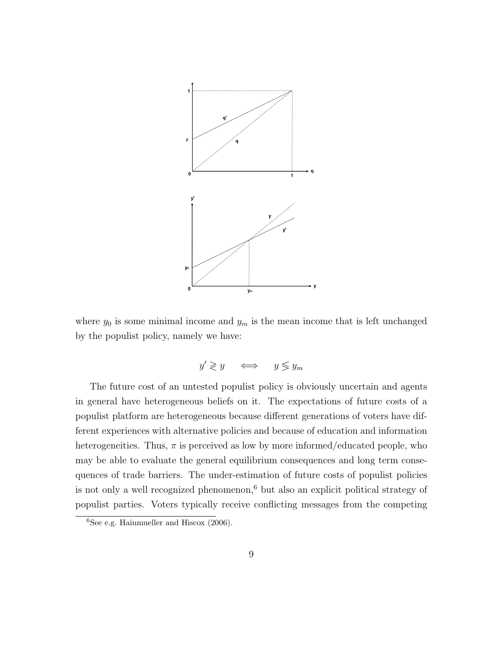

where  $y_0$  is some minimal income and  $y_m$  is the mean income that is left unchanged by the populist policy, namely we have:

$$
y' \gtrless y \quad \iff \quad y \lessgtr y_m
$$

is not only a well recognized phenomenon,<sup>6</sup> but also an explicit political strategy of populist parties. Voters typically receive conflicting messages from the competing 3 in general have heterogeneous beliefs on it. The expectations of future costs of a The future cost of an untested populist policy is obviously uncertain and agents populist platform are heterogeneous because different generations of voters have different experiences with alternative policies and because of education and information heterogeneities. Thus,  $\pi$  is perceived as low by more informed/educated people, who may be able to evaluate the general equilibrium consequences and long term consequences of trade barriers. The under-estimation of future costs of populist policies

 $\frac{6 \text{See e.g. Hainmueller and Hiscox } (2006)}{6}$ .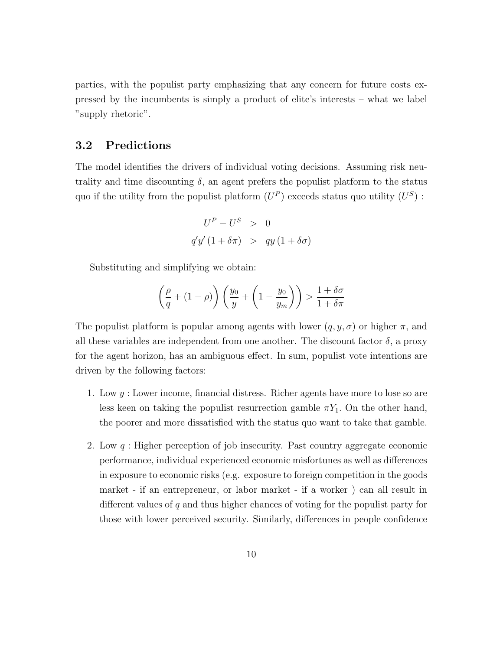parties, with the populist party emphasizing that any concern for future costs expressed by the incumbents is simply a product of elite's interests – what we label "supply rhetoric".

#### 3.2 Predictions

The model identifies the drivers of individual voting decisions. Assuming risk neutrality and time discounting  $\delta$ , an agent prefers the populist platform to the status quo if the utility from the populist platform  $(U^P)$  exceeds status quo utility  $(U^S)$ :

$$
U^{P} - U^{S} > 0
$$
  
q'y' (1 +  $\delta \pi$ ) > qy (1 +  $\delta \sigma$ )

Substituting and simplifying we obtain:

$$
\left(\frac{\rho}{q} + (1 - \rho)\right) \left(\frac{y_0}{y} + \left(1 - \frac{y_0}{y_m}\right)\right) > \frac{1 + \delta\sigma}{1 + \delta\pi}
$$

The populist platform is popular among agents with lower  $(q, y, \sigma)$  or higher  $\pi$ , and all these variables are independent from one another. The discount factor  $\delta$ , a proxy for the agent horizon, has an ambiguous effect. In sum, populist vote intentions are driven by the following factors:

- 1. Low  $y:$  Lower income, financial distress. Richer agents have more to lose so are less keen on taking the populist resurrection gamble  $\pi Y_1$ . On the other hand, the poorer and more dissatisfied with the status quo want to take that gamble.
- 2. Low  $q$ : Higher perception of job insecurity. Past country aggregate economic performance, individual experienced economic misfortunes as well as differences in exposure to economic risks (e.g. exposure to foreign competition in the goods market - if an entrepreneur, or labor market - if a worker ) can all result in different values of q and thus higher chances of voting for the populist party for those with lower perceived security. Similarly, differences in people confidence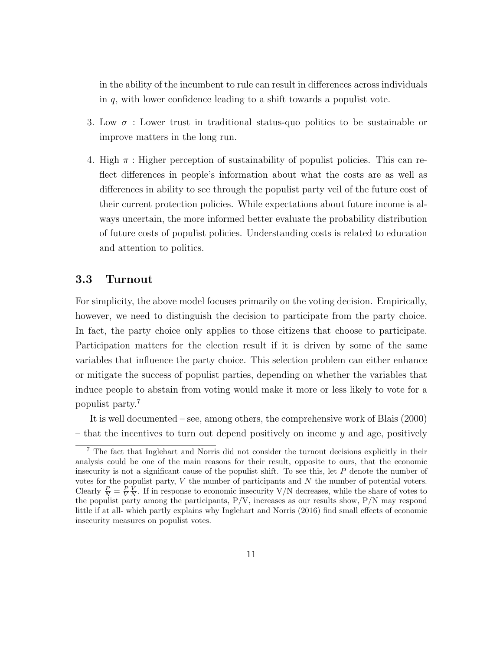in the ability of the incumbent to rule can result in differences across individuals in q, with lower confidence leading to a shift towards a populist vote.

- 3. Low  $\sigma$ : Lower trust in traditional status-quo politics to be sustainable or improve matters in the long run.
- 4. High  $\pi$  : Higher perception of sustainability of populist policies. This can reflect differences in people's information about what the costs are as well as differences in ability to see through the populist party veil of the future cost of their current protection policies. While expectations about future income is always uncertain, the more informed better evaluate the probability distribution of future costs of populist policies. Understanding costs is related to education and attention to politics.

### 3.3 Turnout

For simplicity, the above model focuses primarily on the voting decision. Empirically, however, we need to distinguish the decision to participate from the party choice. In fact, the party choice only applies to those citizens that choose to participate. Participation matters for the election result if it is driven by some of the same variables that influence the party choice. This selection problem can either enhance or mitigate the success of populist parties, depending on whether the variables that induce people to abstain from voting would make it more or less likely to vote for a populist party.<sup>7</sup>

It is well documented – see, among others, the comprehensive work of Blais (2000) – that the incentives to turn out depend positively on income  $y$  and age, positively

<sup>7</sup> The fact that Inglehart and Norris did not consider the turnout decisions explicitly in their analysis could be one of the main reasons for their result, opposite to ours, that the economic insecurity is not a significant cause of the populist shift. To see this, let  $P$  denote the number of votes for the populist party,  $V$  the number of participants and  $N$  the number of potential voters. Clearly  $\frac{P}{N} = \frac{P}{V} \frac{V}{N}$ . If in response to economic insecurity V/N decreases, while the share of votes to the populist party among the participants,  $P/V$ , increases as our results show,  $P/N$  may respond little if at all- which partly explains why Inglehart and Norris (2016) find small effects of economic insecurity measures on populist votes.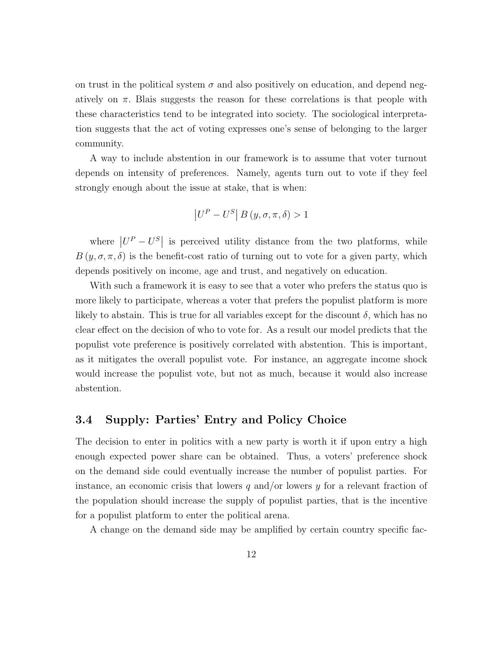on trust in the political system  $\sigma$  and also positively on education, and depend negatively on  $\pi$ . Blais suggests the reason for these correlations is that people with these characteristics tend to be integrated into society. The sociological interpretation suggests that the act of voting expresses one's sense of belonging to the larger community.

A way to include abstention in our framework is to assume that voter turnout depends on intensity of preferences. Namely, agents turn out to vote if they feel strongly enough about the issue at stake, that is when:

$$
\left|U^P - U^S\right| B\left(y, \sigma, \pi, \delta\right) > 1
$$

where  $|U^P - U^S|$  is perceived utility distance from the two platforms, while  $B(y, \sigma, \pi, \delta)$  is the benefit-cost ratio of turning out to vote for a given party, which depends positively on income, age and trust, and negatively on education.

With such a framework it is easy to see that a voter who prefers the status quo is more likely to participate, whereas a voter that prefers the populist platform is more likely to abstain. This is true for all variables except for the discount  $\delta$ , which has no clear effect on the decision of who to vote for. As a result our model predicts that the populist vote preference is positively correlated with abstention. This is important, as it mitigates the overall populist vote. For instance, an aggregate income shock would increase the populist vote, but not as much, because it would also increase abstention.

#### 3.4 Supply: Parties' Entry and Policy Choice

The decision to enter in politics with a new party is worth it if upon entry a high enough expected power share can be obtained. Thus, a voters' preference shock on the demand side could eventually increase the number of populist parties. For instance, an economic crisis that lowers  $q$  and/or lowers  $y$  for a relevant fraction of the population should increase the supply of populist parties, that is the incentive for a populist platform to enter the political arena.

A change on the demand side may be amplified by certain country specific fac-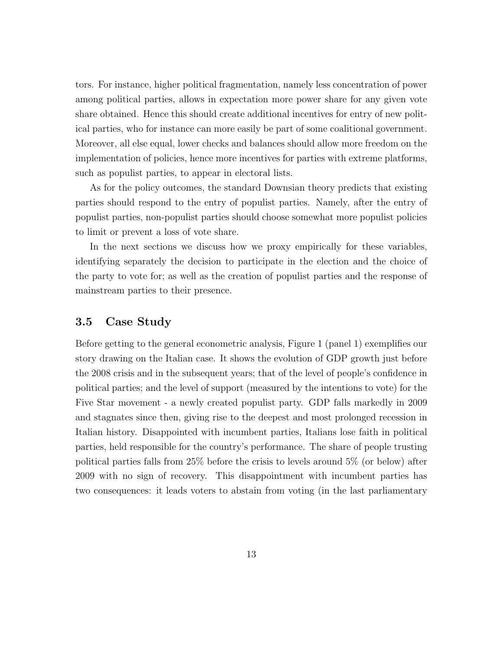tors. For instance, higher political fragmentation, namely less concentration of power among political parties, allows in expectation more power share for any given vote share obtained. Hence this should create additional incentives for entry of new political parties, who for instance can more easily be part of some coalitional government. Moreover, all else equal, lower checks and balances should allow more freedom on the implementation of policies, hence more incentives for parties with extreme platforms, such as populist parties, to appear in electoral lists.

As for the policy outcomes, the standard Downsian theory predicts that existing parties should respond to the entry of populist parties. Namely, after the entry of populist parties, non-populist parties should choose somewhat more populist policies to limit or prevent a loss of vote share.

In the next sections we discuss how we proxy empirically for these variables, identifying separately the decision to participate in the election and the choice of the party to vote for; as well as the creation of populist parties and the response of mainstream parties to their presence.

### 3.5 Case Study

Before getting to the general econometric analysis, Figure 1 (panel 1) exemplifies our story drawing on the Italian case. It shows the evolution of GDP growth just before the 2008 crisis and in the subsequent years; that of the level of people's confidence in political parties; and the level of support (measured by the intentions to vote) for the Five Star movement - a newly created populist party. GDP falls markedly in 2009 and stagnates since then, giving rise to the deepest and most prolonged recession in Italian history. Disappointed with incumbent parties, Italians lose faith in political parties, held responsible for the country's performance. The share of people trusting political parties falls from 25% before the crisis to levels around 5% (or below) after 2009 with no sign of recovery. This disappointment with incumbent parties has two consequences: it leads voters to abstain from voting (in the last parliamentary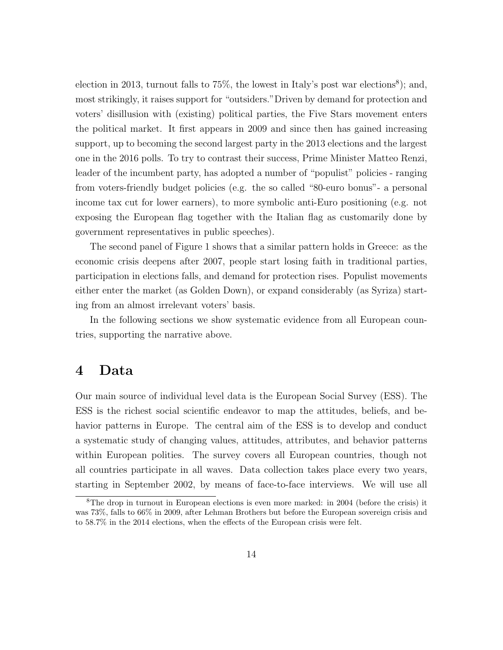election in 2013, turnout falls to  $75\%$ , the lowest in Italy's post war elections<sup>8</sup>); and, most strikingly, it raises support for "outsiders."Driven by demand for protection and voters' disillusion with (existing) political parties, the Five Stars movement enters the political market. It first appears in 2009 and since then has gained increasing support, up to becoming the second largest party in the 2013 elections and the largest one in the 2016 polls. To try to contrast their success, Prime Minister Matteo Renzi, leader of the incumbent party, has adopted a number of "populist" policies - ranging from voters-friendly budget policies (e.g. the so called "80-euro bonus"- a personal income tax cut for lower earners), to more symbolic anti-Euro positioning (e.g. not exposing the European flag together with the Italian flag as customarily done by government representatives in public speeches).

The second panel of Figure 1 shows that a similar pattern holds in Greece: as the economic crisis deepens after 2007, people start losing faith in traditional parties, participation in elections falls, and demand for protection rises. Populist movements either enter the market (as Golden Down), or expand considerably (as Syriza) starting from an almost irrelevant voters' basis.

In the following sections we show systematic evidence from all European countries, supporting the narrative above.

### 4 Data

Our main source of individual level data is the European Social Survey (ESS). The ESS is the richest social scientific endeavor to map the attitudes, beliefs, and behavior patterns in Europe. The central aim of the ESS is to develop and conduct a systematic study of changing values, attitudes, attributes, and behavior patterns within European polities. The survey covers all European countries, though not all countries participate in all waves. Data collection takes place every two years, starting in September 2002, by means of face-to-face interviews. We will use all

<sup>&</sup>lt;sup>8</sup>The drop in turnout in European elections is even more marked: in 2004 (before the crisis) it was 73%, falls to 66% in 2009, after Lehman Brothers but before the European sovereign crisis and to 58.7% in the 2014 elections, when the effects of the European crisis were felt.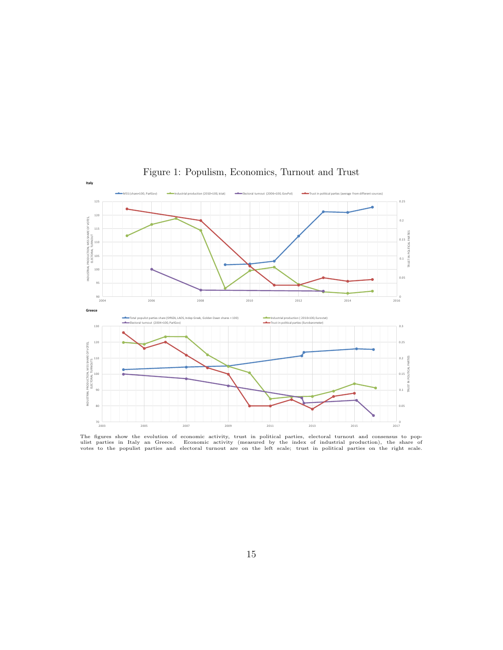

Figure 1: Populism, Economics, Turnout and Trust

The figures show the evolution of economic activity, trust in political parties, electoral turnout and consensus to pop-<br>ulist parties in Italy an Greece. Economic activity (measured by the index of industrial production),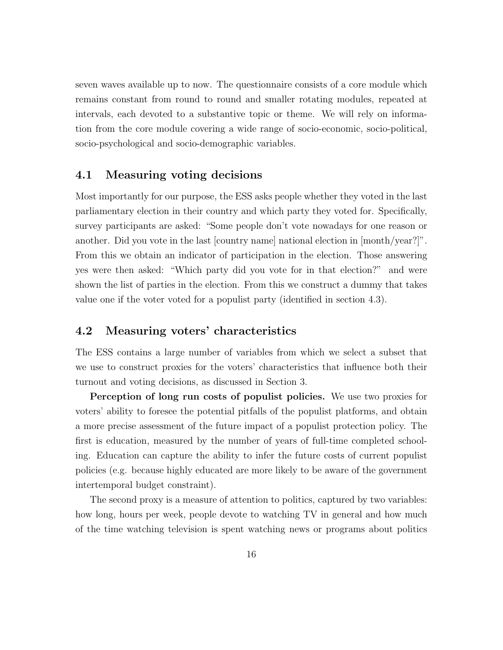seven waves available up to now. The questionnaire consists of a core module which remains constant from round to round and smaller rotating modules, repeated at intervals, each devoted to a substantive topic or theme. We will rely on information from the core module covering a wide range of socio-economic, socio-political, socio-psychological and socio-demographic variables.

#### 4.1 Measuring voting decisions

Most importantly for our purpose, the ESS asks people whether they voted in the last parliamentary election in their country and which party they voted for. Specifically, survey participants are asked: "Some people don't vote nowadays for one reason or another. Did you vote in the last [country name] national election in [month/year?]". From this we obtain an indicator of participation in the election. Those answering yes were then asked: "Which party did you vote for in that election?" and were shown the list of parties in the election. From this we construct a dummy that takes value one if the voter voted for a populist party (identified in section 4.3).

#### 4.2 Measuring voters' characteristics

The ESS contains a large number of variables from which we select a subset that we use to construct proxies for the voters' characteristics that influence both their turnout and voting decisions, as discussed in Section 3.

Perception of long run costs of populist policies. We use two proxies for voters' ability to foresee the potential pitfalls of the populist platforms, and obtain a more precise assessment of the future impact of a populist protection policy. The first is education, measured by the number of years of full-time completed schooling. Education can capture the ability to infer the future costs of current populist policies (e.g. because highly educated are more likely to be aware of the government intertemporal budget constraint).

The second proxy is a measure of attention to politics, captured by two variables: how long, hours per week, people devote to watching TV in general and how much of the time watching television is spent watching news or programs about politics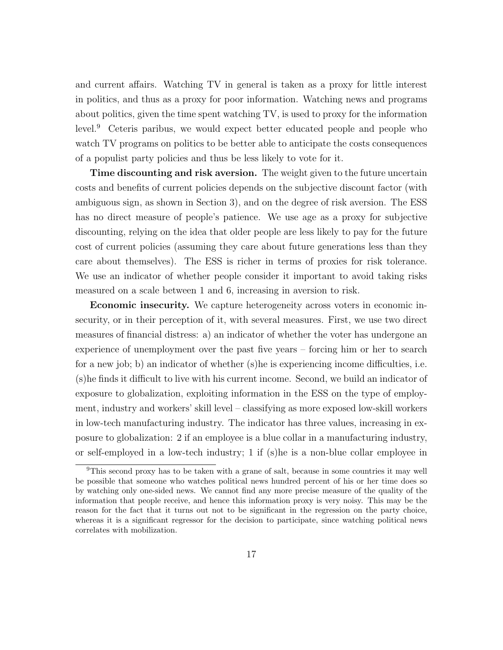and current affairs. Watching TV in general is taken as a proxy for little interest in politics, and thus as a proxy for poor information. Watching news and programs about politics, given the time spent watching TV, is used to proxy for the information level.<sup>9</sup> Ceteris paribus, we would expect better educated people and people who watch TV programs on politics to be better able to anticipate the costs consequences of a populist party policies and thus be less likely to vote for it.

Time discounting and risk aversion. The weight given to the future uncertain costs and benefits of current policies depends on the subjective discount factor (with ambiguous sign, as shown in Section 3), and on the degree of risk aversion. The ESS has no direct measure of people's patience. We use age as a proxy for subjective discounting, relying on the idea that older people are less likely to pay for the future cost of current policies (assuming they care about future generations less than they care about themselves). The ESS is richer in terms of proxies for risk tolerance. We use an indicator of whether people consider it important to avoid taking risks measured on a scale between 1 and 6, increasing in aversion to risk.

Economic insecurity. We capture heterogeneity across voters in economic insecurity, or in their perception of it, with several measures. First, we use two direct measures of financial distress: a) an indicator of whether the voter has undergone an experience of unemployment over the past five years – forcing him or her to search for a new job; b) an indicator of whether (s)he is experiencing income difficulties, i.e. (s)he finds it difficult to live with his current income. Second, we build an indicator of exposure to globalization, exploiting information in the ESS on the type of employment, industry and workers' skill level – classifying as more exposed low-skill workers in low-tech manufacturing industry. The indicator has three values, increasing in exposure to globalization: 2 if an employee is a blue collar in a manufacturing industry, or self-employed in a low-tech industry; 1 if (s)he is a non-blue collar employee in

<sup>9</sup>This second proxy has to be taken with a grane of salt, because in some countries it may well be possible that someone who watches political news hundred percent of his or her time does so by watching only one-sided news. We cannot find any more precise measure of the quality of the information that people receive, and hence this information proxy is very noisy. This may be the reason for the fact that it turns out not to be significant in the regression on the party choice, whereas it is a significant regressor for the decision to participate, since watching political news correlates with mobilization.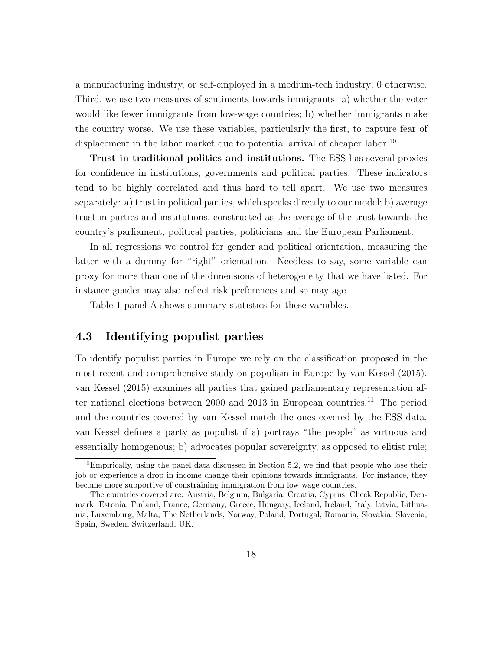a manufacturing industry, or self-employed in a medium-tech industry; 0 otherwise. Third, we use two measures of sentiments towards immigrants: a) whether the voter would like fewer immigrants from low-wage countries; b) whether immigrants make the country worse. We use these variables, particularly the first, to capture fear of displacement in the labor market due to potential arrival of cheaper labor.<sup>10</sup>

Trust in traditional politics and institutions. The ESS has several proxies for confidence in institutions, governments and political parties. These indicators tend to be highly correlated and thus hard to tell apart. We use two measures separately: a) trust in political parties, which speaks directly to our model; b) average trust in parties and institutions, constructed as the average of the trust towards the country's parliament, political parties, politicians and the European Parliament.

In all regressions we control for gender and political orientation, measuring the latter with a dummy for "right" orientation. Needless to say, some variable can proxy for more than one of the dimensions of heterogeneity that we have listed. For instance gender may also reflect risk preferences and so may age.

Table 1 panel A shows summary statistics for these variables.

#### 4.3 Identifying populist parties

To identify populist parties in Europe we rely on the classification proposed in the most recent and comprehensive study on populism in Europe by van Kessel (2015). van Kessel (2015) examines all parties that gained parliamentary representation after national elections between 2000 and 2013 in European countries.<sup>11</sup> The period and the countries covered by van Kessel match the ones covered by the ESS data. van Kessel defines a party as populist if a) portrays "the people" as virtuous and essentially homogenous; b) advocates popular sovereignty, as opposed to elitist rule;

 $10$ Empirically, using the panel data discussed in Section 5.2, we find that people who lose their job or experience a drop in income change their opinions towards immigrants. For instance, they become more supportive of constraining immigration from low wage countries.

<sup>11</sup>The countries covered are: Austria, Belgium, Bulgaria, Croatia, Cyprus, Check Republic, Denmark, Estonia, Finland, France, Germany, Greece, Hungary, Iceland, Ireland, Italy, latvia, Lithuania, Luxemburg, Malta, The Netherlands, Norway, Poland, Portugal, Romania, Slovakia, Slovenia, Spain, Sweden, Switzerland, UK.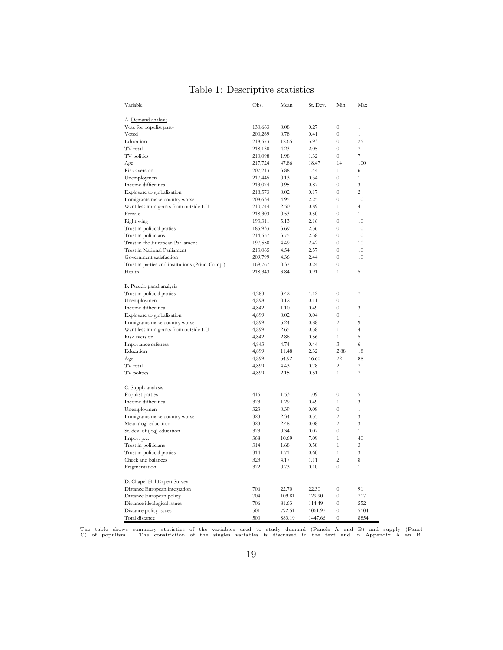| Variable                                               | Obs.               | Mean         | St. Dev.      | Min                                  | Max                            |
|--------------------------------------------------------|--------------------|--------------|---------------|--------------------------------------|--------------------------------|
|                                                        |                    |              |               |                                      |                                |
| A. Demand analysis                                     |                    |              |               |                                      |                                |
| Vote for populist party                                | 130,663            | 0.08         | 0.27          | $\theta$                             | $\mathbf{1}$                   |
| Voted                                                  | 200,269            | 0.78         | 0.41          | $\boldsymbol{0}$                     | $\mathbf{1}$                   |
| Education<br>TV total                                  | 218,573            | 12.65        | 3.93<br>2.05  | $\boldsymbol{0}$<br>$\boldsymbol{0}$ | 25<br>$\overline{\phantom{a}}$ |
|                                                        | 218,130            | 4.23<br>1.98 | 1.32          | $\overline{0}$                       | $\overline{\mathcal{I}}$       |
| TV politics                                            | 210,098            | 47.86        |               | 14                                   | 100                            |
| Age<br>Risk aversion                                   | 217,724<br>207,213 | 3.88         | 18.47<br>1.44 | $\mathbf{1}$                         | 6                              |
| Unemploymen                                            | 217,445            | 0.13         | 0.34          | $\boldsymbol{0}$                     | $\mathbf{1}$                   |
| Income difficulties                                    | 213,074            | 0.95         | 0.87          | $\boldsymbol{0}$                     | 3                              |
| Explosure to globalization                             | 218,573            | 0.02         | 0.17          | $\boldsymbol{0}$                     | 2                              |
| Immigrants make country worse                          | 208,634            | 4.95         | 2.25          | $\overline{0}$                       | 10                             |
| Want less immigrants from outside EU                   | 210,744            | 2.50         | 0.89          | $\mathbf{1}$                         | $\overline{4}$                 |
| Female                                                 | 218,303            | 0.53         | 0.50          | $\boldsymbol{0}$                     | $\mathbf{1}$                   |
| Right wing                                             | 193,311            | 5.13         | 2.16          | $\boldsymbol{0}$                     | 10                             |
| Trust in political parties                             | 185,933            | 3.69         | 2.36          | $\boldsymbol{0}$                     | 10                             |
| Trust in politicians                                   | 214,557            | 3.75         | 2.38          | $\theta$                             | 10                             |
| Trust in the European Parliament                       | 197,558            | 4.49         | 2.42          | $\boldsymbol{0}$                     | 10                             |
| Trust in National Parliament                           | 213,065            | 4.54         | 2.57          | $\overline{0}$                       | 10                             |
| Government satisfaction                                | 209,799            | 4.36         | 2.44          | $\overline{0}$                       | 10                             |
| Trust in parties and institutions (Princ. Comp.)       | 169,767            | 0.37         | 0.24          | $\overline{0}$                       | $\mathbf{1}$                   |
| Health                                                 | 218,343            | 3.84         | 0.91          | $\mathbf{1}$                         | 5                              |
|                                                        |                    |              |               |                                      |                                |
| B. Pseudo panel analysis<br>Trust in political parties | 4,283              | 3.42         | 1.12          | $\boldsymbol{0}$                     | $\overline{\mathcal{I}}$       |
| Unemploymen                                            | 4,898              | 0.12         | 0.11          | $\overline{0}$                       | 1                              |
| Income difficulties                                    | 4,842              | 1.10         | 0.49          | $\theta$                             | 3                              |
| Explosure to globalization                             | 4,899              | 0.02         | 0.04          | $\overline{0}$                       | $\mathbf{1}$                   |
| Immigrants make country worse                          | 4,899              | 5.24         | 0.88          | $\overline{2}$                       | 9                              |
| Want less immigrants from outside EU                   | 4,899              | 2.65         | 0.38          | $\mathbf{1}$                         | $\overline{4}$                 |
| Risk aversion                                          | 4,842              | 2.88         | 0.56          | $\mathbf{1}$                         | 5                              |
| Importance safeness                                    | 4,843              | 4.74         | 0.44          | 3                                    | 6                              |
| Education                                              | 4,899              | 11.48        | 2.32          | 2.88                                 | 18                             |
| Age                                                    | 4,899              | 54.92        | 16.60         | 22                                   | 88                             |
| TV total                                               | 4,899              | 4.43         | 0.78          | $\overline{c}$                       | 7                              |
| TV politics                                            | 4,899              | 2.15         | 0.51          | $\mathbf{1}$                         | $\overline{\mathcal{I}}$       |
| C. Supply analysis                                     |                    |              |               |                                      |                                |
| Populist parties                                       | 416                | 1.53         | 1.09          | $\overline{0}$                       | 5                              |
| Income difficulties                                    | 323                | 1.29         | 0.49          | $\mathbf{1}$                         | 3                              |
| Unemploymen                                            | 323                | 0.39         | 0.08          | $\boldsymbol{0}$                     | $\mathbf{1}$                   |
| Immigrants make country worse                          | 323                | 2.34         | 0.35          | $\overline{2}$                       | 3                              |
| Mean (log) education                                   | 323                | 2.48         | 0.08          | $\overline{2}$                       | 3                              |
| St. dev. of (log) education                            | 323                | 0.34         | 0.07          | $\overline{0}$                       | $\mathbf{1}$                   |
| Import p.c.                                            | 368                | 10.69        | 7.09          | $\mathbf{1}$                         | 40                             |
| Trust in politicians                                   | 314                | 1.68         | 0.58          | $\mathbf{1}$                         | 3                              |
| Trust in political parties                             | 314                | 1.71         | 0.60          | $\mathbf{1}$                         | 3                              |
| Check and balances                                     | 323                | 4.17         | 1.11          | $\overline{c}$                       | 8                              |
| Fragmentation                                          | 322                | 0.73         | 0.10          | $\boldsymbol{0}$                     | $\mathbf{1}$                   |
| D. Chapel Hill Expert Survey                           |                    |              |               |                                      |                                |
| Distance European integration                          | 706                | 22.70        | 22.30         | $\boldsymbol{0}$                     | 91                             |
| Distance European policy                               | 704                | 109.81       | 129.90        | $\boldsymbol{0}$                     | 717                            |
| Distance ideological issues                            | 706                | 81.63        | 114.49        | $\boldsymbol{0}$                     | 552                            |
| Distance policy issues                                 | 501                | 792.51       | 1061.97       | $\boldsymbol{0}$                     | 5104                           |
| Total distance                                         | 500                | 883.19       | 1447.66       | $\theta$                             | 8854                           |

Table 1: Descriptive statistics

The table shows summary statistics of the variables used to study demand (Panels A and B) and supply (Panel C) of populism. The constriction of the singles variables is discussed in the text and in Appendix A an B.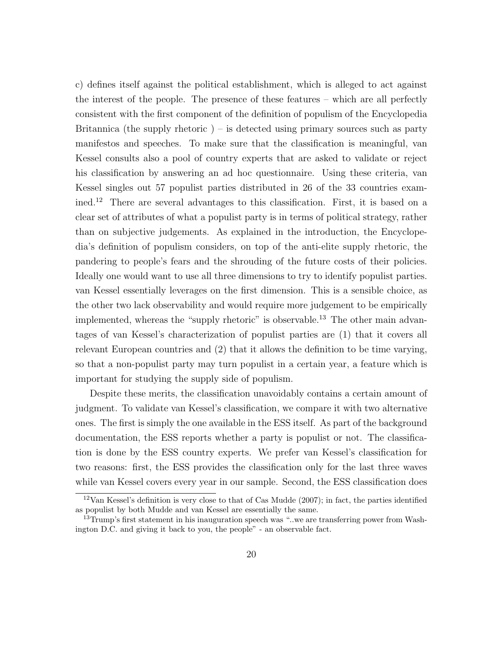c) defines itself against the political establishment, which is alleged to act against the interest of the people. The presence of these features – which are all perfectly consistent with the first component of the definition of populism of the Encyclopedia Britannica (the supply rhetoric) – is detected using primary sources such as party manifestos and speeches. To make sure that the classification is meaningful, van Kessel consults also a pool of country experts that are asked to validate or reject his classification by answering an ad hoc questionnaire. Using these criteria, van Kessel singles out 57 populist parties distributed in 26 of the 33 countries examined.<sup>12</sup> There are several advantages to this classification. First, it is based on a clear set of attributes of what a populist party is in terms of political strategy, rather than on subjective judgements. As explained in the introduction, the Encyclopedia's definition of populism considers, on top of the anti-elite supply rhetoric, the pandering to people's fears and the shrouding of the future costs of their policies. Ideally one would want to use all three dimensions to try to identify populist parties. van Kessel essentially leverages on the first dimension. This is a sensible choice, as the other two lack observability and would require more judgement to be empirically implemented, whereas the "supply rhetoric" is observable.<sup>13</sup> The other main advantages of van Kessel's characterization of populist parties are (1) that it covers all relevant European countries and (2) that it allows the definition to be time varying, so that a non-populist party may turn populist in a certain year, a feature which is important for studying the supply side of populism.

Despite these merits, the classification unavoidably contains a certain amount of judgment. To validate van Kessel's classification, we compare it with two alternative ones. The first is simply the one available in the ESS itself. As part of the background documentation, the ESS reports whether a party is populist or not. The classification is done by the ESS country experts. We prefer van Kessel's classification for two reasons: first, the ESS provides the classification only for the last three waves while van Kessel covers every year in our sample. Second, the ESS classification does

 $12$ Van Kessel's definition is very close to that of Cas Mudde (2007); in fact, the parties identified as populist by both Mudde and van Kessel are essentially the same.

 $13$ Trump's first statement in his inauguration speech was "..we are transferring power from Washington D.C. and giving it back to you, the people" - an observable fact.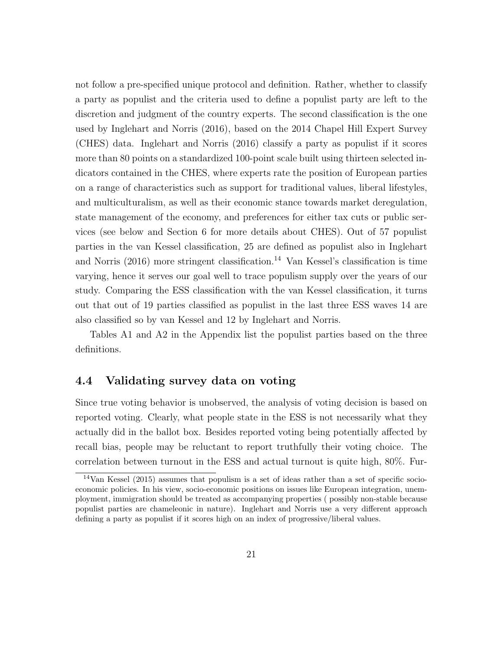not follow a pre-specified unique protocol and definition. Rather, whether to classify a party as populist and the criteria used to define a populist party are left to the discretion and judgment of the country experts. The second classification is the one used by Inglehart and Norris (2016), based on the 2014 Chapel Hill Expert Survey (CHES) data. Inglehart and Norris (2016) classify a party as populist if it scores more than 80 points on a standardized 100-point scale built using thirteen selected indicators contained in the CHES, where experts rate the position of European parties on a range of characteristics such as support for traditional values, liberal lifestyles, and multiculturalism, as well as their economic stance towards market deregulation, state management of the economy, and preferences for either tax cuts or public services (see below and Section 6 for more details about CHES). Out of 57 populist parties in the van Kessel classification, 25 are defined as populist also in Inglehart and Norris  $(2016)$  more stringent classification.<sup>14</sup> Van Kessel's classification is time varying, hence it serves our goal well to trace populism supply over the years of our study. Comparing the ESS classification with the van Kessel classification, it turns out that out of 19 parties classified as populist in the last three ESS waves 14 are also classified so by van Kessel and 12 by Inglehart and Norris.

Tables A1 and A2 in the Appendix list the populist parties based on the three definitions.

#### 4.4 Validating survey data on voting

Since true voting behavior is unobserved, the analysis of voting decision is based on reported voting. Clearly, what people state in the ESS is not necessarily what they actually did in the ballot box. Besides reported voting being potentially affected by recall bias, people may be reluctant to report truthfully their voting choice. The correlation between turnout in the ESS and actual turnout is quite high, 80%. Fur-

<sup>&</sup>lt;sup>14</sup>Van Kessel (2015) assumes that populism is a set of ideas rather than a set of specific socioeconomic policies. In his view, socio-economic positions on issues like European integration, unemployment, immigration should be treated as accompanying properties ( possibly non-stable because populist parties are chameleonic in nature). Inglehart and Norris use a very different approach defining a party as populist if it scores high on an index of progressive/liberal values.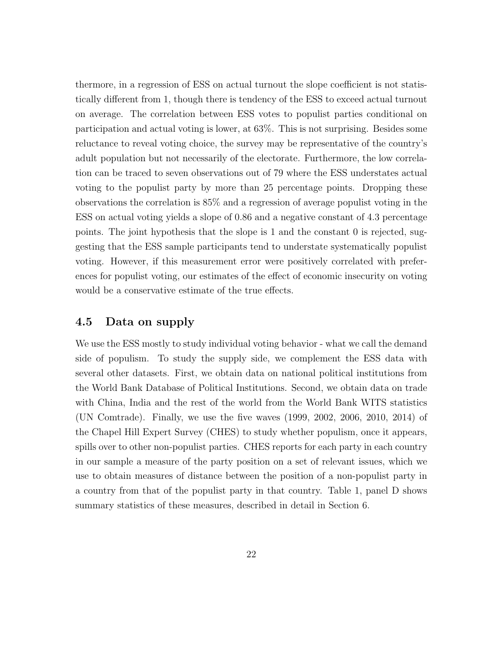thermore, in a regression of ESS on actual turnout the slope coefficient is not statistically different from 1, though there is tendency of the ESS to exceed actual turnout on average. The correlation between ESS votes to populist parties conditional on participation and actual voting is lower, at 63%. This is not surprising. Besides some reluctance to reveal voting choice, the survey may be representative of the country's adult population but not necessarily of the electorate. Furthermore, the low correlation can be traced to seven observations out of 79 where the ESS understates actual voting to the populist party by more than 25 percentage points. Dropping these observations the correlation is 85% and a regression of average populist voting in the ESS on actual voting yields a slope of 0.86 and a negative constant of 4.3 percentage points. The joint hypothesis that the slope is 1 and the constant 0 is rejected, suggesting that the ESS sample participants tend to understate systematically populist voting. However, if this measurement error were positively correlated with preferences for populist voting, our estimates of the effect of economic insecurity on voting would be a conservative estimate of the true effects.

### 4.5 Data on supply

We use the ESS mostly to study individual voting behavior - what we call the demand side of populism. To study the supply side, we complement the ESS data with several other datasets. First, we obtain data on national political institutions from the World Bank Database of Political Institutions. Second, we obtain data on trade with China, India and the rest of the world from the World Bank WITS statistics (UN Comtrade). Finally, we use the five waves (1999, 2002, 2006, 2010, 2014) of the Chapel Hill Expert Survey (CHES) to study whether populism, once it appears, spills over to other non-populist parties. CHES reports for each party in each country in our sample a measure of the party position on a set of relevant issues, which we use to obtain measures of distance between the position of a non-populist party in a country from that of the populist party in that country. Table 1, panel D shows summary statistics of these measures, described in detail in Section 6.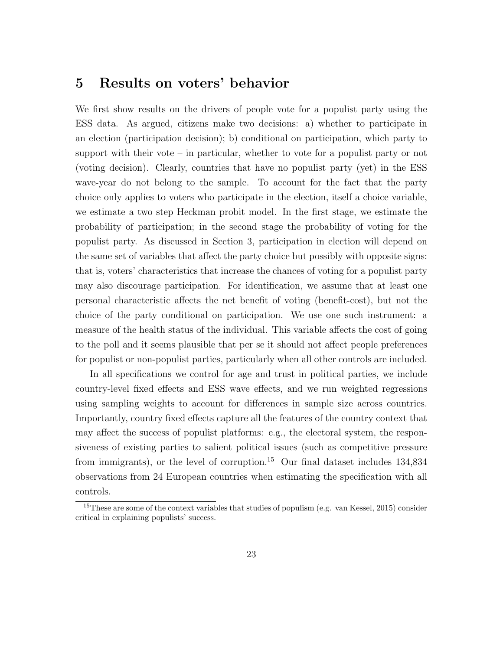### 5 Results on voters' behavior

We first show results on the drivers of people vote for a populist party using the ESS data. As argued, citizens make two decisions: a) whether to participate in an election (participation decision); b) conditional on participation, which party to support with their vote – in particular, whether to vote for a populist party or not (voting decision). Clearly, countries that have no populist party (yet) in the ESS wave-year do not belong to the sample. To account for the fact that the party choice only applies to voters who participate in the election, itself a choice variable, we estimate a two step Heckman probit model. In the first stage, we estimate the probability of participation; in the second stage the probability of voting for the populist party. As discussed in Section 3, participation in election will depend on the same set of variables that affect the party choice but possibly with opposite signs: that is, voters' characteristics that increase the chances of voting for a populist party may also discourage participation. For identification, we assume that at least one personal characteristic affects the net benefit of voting (benefit-cost), but not the choice of the party conditional on participation. We use one such instrument: a measure of the health status of the individual. This variable affects the cost of going to the poll and it seems plausible that per se it should not affect people preferences for populist or non-populist parties, particularly when all other controls are included.

In all specifications we control for age and trust in political parties, we include country-level fixed effects and ESS wave effects, and we run weighted regressions using sampling weights to account for differences in sample size across countries. Importantly, country fixed effects capture all the features of the country context that may affect the success of populist platforms: e.g., the electoral system, the responsiveness of existing parties to salient political issues (such as competitive pressure from immigrants), or the level of corruption.<sup>15</sup> Our final dataset includes  $134,834$ observations from 24 European countries when estimating the specification with all controls.

<sup>&</sup>lt;sup>15</sup>These are some of the context variables that studies of populism (e.g. van Kessel, 2015) consider critical in explaining populists' success.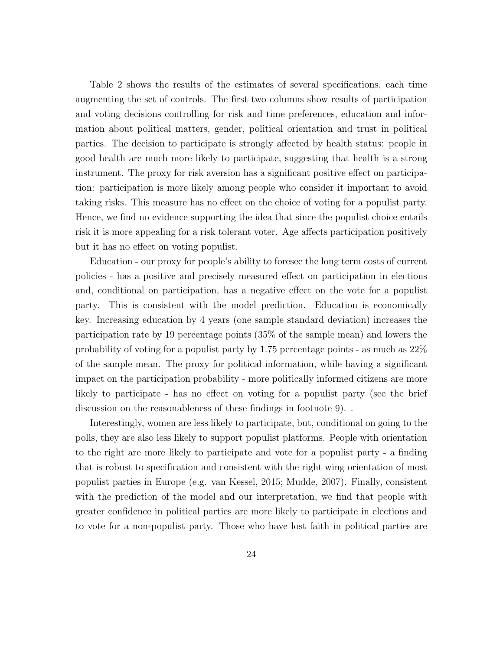Table 2 shows the results of the estimates of several specifications, each time augmenting the set of controls. The first two columns show results of participation and voting decisions controlling for risk and time preferences, education and information about political matters, gender, political orientation and trust in political parties. The decision to participate is strongly affected by health status: people in good health are much more likely to participate, suggesting that health is a strong instrument. The proxy for risk aversion has a significant positive effect on participation: participation is more likely among people who consider it important to avoid taking risks. This measure has no effect on the choice of voting for a populist party. Hence, we find no evidence supporting the idea that since the populist choice entails risk it is more appealing for a risk tolerant voter. Age affects participation positively but it has no effect on voting populist.

Education - our proxy for people's ability to foresee the long term costs of current policies - has a positive and precisely measured effect on participation in elections and, conditional on participation, has a negative effect on the vote for a populist party. This is consistent with the model prediction. Education is economically key. Increasing education by 4 years (one sample standard deviation) increases the participation rate by 19 percentage points (35% of the sample mean) and lowers the probability of voting for a populist party by 1.75 percentage points - as much as 22% of the sample mean. The proxy for political information, while having a significant impact on the participation probability - more politically informed citizens are more likely to participate - has no effect on voting for a populist party (see the brief discussion on the reasonableness of these findings in footnote 9). .

Interestingly, women are less likely to participate, but, conditional on going to the polls, they are also less likely to support populist platforms. People with orientation to the right are more likely to participate and vote for a populist party - a finding that is robust to specification and consistent with the right wing orientation of most populist parties in Europe (e.g. van Kessel, 2015; Mudde, 2007). Finally, consistent with the prediction of the model and our interpretation, we find that people with greater confidence in political parties are more likely to participate in elections and to vote for a non-populist party. Those who have lost faith in political parties are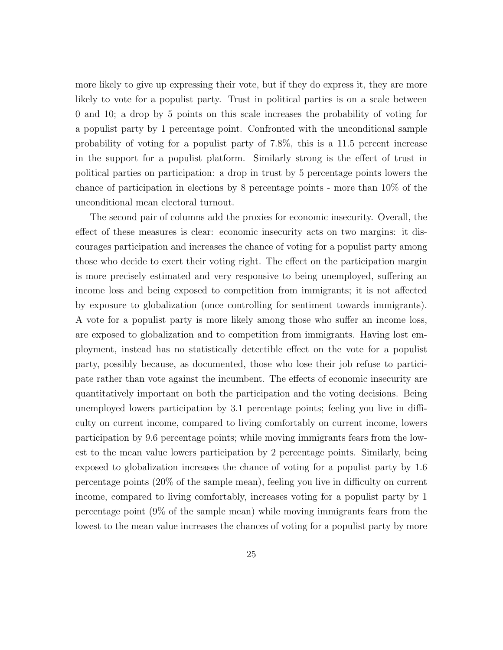more likely to give up expressing their vote, but if they do express it, they are more likely to vote for a populist party. Trust in political parties is on a scale between 0 and 10; a drop by 5 points on this scale increases the probability of voting for a populist party by 1 percentage point. Confronted with the unconditional sample probability of voting for a populist party of 7.8%, this is a 11.5 percent increase in the support for a populist platform. Similarly strong is the effect of trust in political parties on participation: a drop in trust by 5 percentage points lowers the chance of participation in elections by 8 percentage points - more than 10% of the unconditional mean electoral turnout.

The second pair of columns add the proxies for economic insecurity. Overall, the effect of these measures is clear: economic insecurity acts on two margins: it discourages participation and increases the chance of voting for a populist party among those who decide to exert their voting right. The effect on the participation margin is more precisely estimated and very responsive to being unemployed, suffering an income loss and being exposed to competition from immigrants; it is not affected by exposure to globalization (once controlling for sentiment towards immigrants). A vote for a populist party is more likely among those who suffer an income loss, are exposed to globalization and to competition from immigrants. Having lost employment, instead has no statistically detectible effect on the vote for a populist party, possibly because, as documented, those who lose their job refuse to participate rather than vote against the incumbent. The effects of economic insecurity are quantitatively important on both the participation and the voting decisions. Being unemployed lowers participation by 3.1 percentage points; feeling you live in difficulty on current income, compared to living comfortably on current income, lowers participation by 9.6 percentage points; while moving immigrants fears from the lowest to the mean value lowers participation by 2 percentage points. Similarly, being exposed to globalization increases the chance of voting for a populist party by 1.6 percentage points (20% of the sample mean), feeling you live in difficulty on current income, compared to living comfortably, increases voting for a populist party by 1 percentage point (9% of the sample mean) while moving immigrants fears from the lowest to the mean value increases the chances of voting for a populist party by more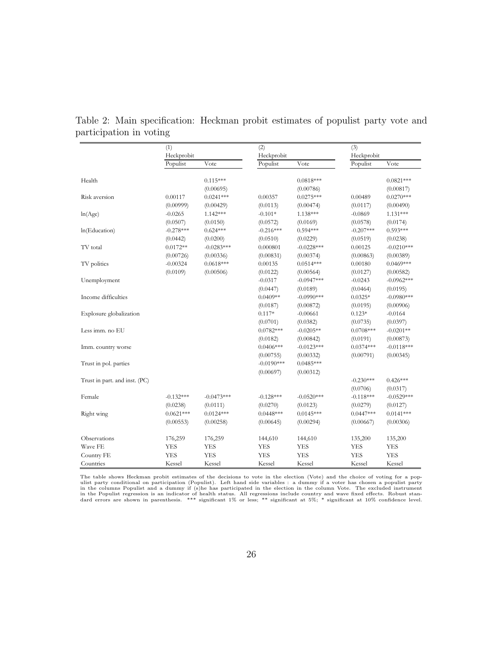|                               | (1)         |              | (2)          |              | (3)         |              |
|-------------------------------|-------------|--------------|--------------|--------------|-------------|--------------|
|                               | Heckprobit  |              | Heckprobit   |              | Heckprobit  |              |
|                               | Populist    | Vote         | Populist     | Vote         | Populist    | Vote         |
| Health                        |             | $0.115***$   |              | $0.0818***$  |             | $0.0821***$  |
|                               |             | (0.00695)    |              | (0.00786)    |             | (0.00817)    |
| Risk aversion                 | 0.00117     | $0.0241***$  | 0.00357      | $0.0275***$  | 0.00489     | $0.0270***$  |
|                               | (0.00999)   | (0.00429)    | (0.0113)     | (0.00474)    | (0.0117)    | (0.00490)    |
| ln(Age)                       | $-0.0265$   | $1.142***$   | $-0.101*$    | 1.138***     | $-0.0869$   | 1.131***     |
|                               | (0.0507)    | (0.0150)     | (0.0572)     | (0.0169)     | (0.0578)    | (0.0174)     |
| ln(Education)                 | $-0.278***$ | $0.624***$   | $-0.216***$  | $0.594***$   | $-0.207***$ | $0.593***$   |
|                               | (0.0442)    | (0.0200)     | (0.0510)     | (0.0229)     | (0.0519)    | (0.0238)     |
| TV total                      | $0.0172**$  | $-0.0283***$ | 0.000801     | $-0.0228***$ | 0.00125     | $-0.0210***$ |
|                               | (0.00726)   | (0.00336)    | (0.00831)    | (0.00374)    | (0.00863)   | (0.00389)    |
| TV politics                   | $-0.00324$  | $0.0618***$  | 0.00135      | $0.0514***$  | 0.00180     | $0.0469***$  |
|                               | (0.0109)    | (0.00506)    | (0.0122)     | (0.00564)    | (0.0127)    | (0.00582)    |
| Unemployment                  |             |              | $-0.0317$    | $-0.0947***$ | $-0.0243$   | $-0.0962***$ |
|                               |             |              | (0.0447)     | (0.0189)     | (0.0464)    | (0.0195)     |
| Income difficulties           |             |              | $0.0409**$   | $-0.0990***$ | $0.0325*$   | $-0.0980***$ |
|                               |             |              | (0.0187)     | (0.00872)    | (0.0195)    | (0.00906)    |
| Explosure globalization       |             |              | $0.117*$     | $-0.00661$   | $0.123*$    | $-0.0164$    |
|                               |             |              | (0.0701)     | (0.0382)     | (0.0735)    | (0.0397)     |
| Less imm. no EU               |             |              | $0.0782***$  | $-0.0205**$  | $0.0708***$ | $-0.0201**$  |
|                               |             |              | (0.0182)     | (0.00842)    | (0.0191)    | (0.00873)    |
| Imm. country worse            |             |              | $0.0406***$  | $-0.0123***$ | $0.0374***$ | $-0.0118***$ |
|                               |             |              | (0.00755)    | (0.00332)    | (0.00791)   | (0.00345)    |
| Trust in pol. parties         |             |              | $-0.0190***$ | $0.0485***$  |             |              |
|                               |             |              | (0.00697)    | (0.00312)    |             |              |
| Trust in part. and inst. (PC) |             |              |              |              | $-0.230***$ | $0.426***$   |
|                               |             |              |              |              | (0.0706)    | (0.0317)     |
| Female                        | $-0.132***$ | $-0.0473***$ | $-0.128***$  | $-0.0520***$ | $-0.118***$ | $-0.0529***$ |
|                               | (0.0238)    | (0.0111)     | (0.0270)     | (0.0123)     | (0.0279)    | (0.0127)     |
| Right wing                    | $0.0621***$ | $0.0124***$  | $0.0448***$  | $0.0145***$  | $0.0447***$ | $0.0141***$  |
|                               | (0.00553)   | (0.00258)    | (0.00645)    | (0.00294)    | (0.00667)   | (0.00306)    |
| Observations                  | 176,259     | 176,259      | 144,610      | 144,610      | 135,200     | 135,200      |
| Wave FE                       | <b>YES</b>  | <b>YES</b>   | <b>YES</b>   | <b>YES</b>   | <b>YES</b>  | <b>YES</b>   |
| Country FE                    | <b>YES</b>  | <b>YES</b>   | <b>YES</b>   | <b>YES</b>   | <b>YES</b>  | <b>YES</b>   |
| Countries                     | Kessel      | Kessel       | Kessel       | Kessel       | Kessel      | Kessel       |

Table 2: Main specification: Heckman probit estimates of populist party vote and participation in voting

The table shows Heckman probit estimates of the decisions to vote in the election (Vote) and the choice of voting for a populist party conditional on participation (Populist). Left hand side variables : a dummy if a voter has chosen a populist party<br>in the columns Populist and a dummy if (s)he has participated in the election in the column Vot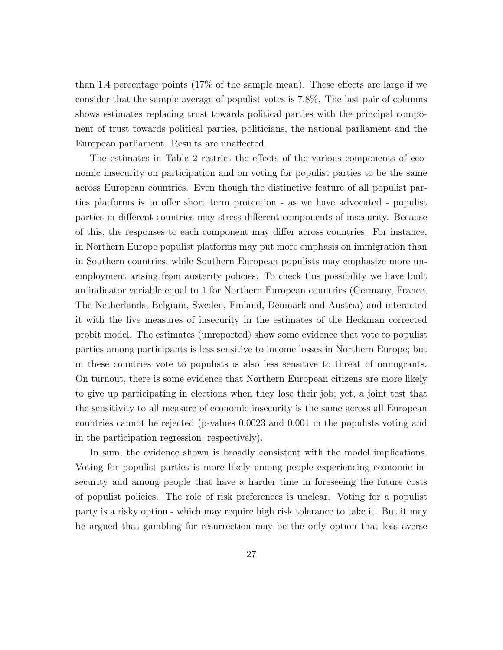than 1.4 percentage points (17% of the sample mean). These effects are large if we consider that the sample average of populist votes is 7.8%. The last pair of columns shows estimates replacing trust towards political parties with the principal component of trust towards political parties, politicians, the national parliament and the European parliament. Results are unaffected.

The estimates in Table 2 restrict the effects of the various components of economic insecurity on participation and on voting for populist parties to be the same across European countries. Even though the distinctive feature of all populist parties platforms is to offer short term protection - as we have advocated - populist parties in different countries may stress different components of insecurity. Because of this, the responses to each component may differ across countries. For instance, in Northern Europe populist platforms may put more emphasis on immigration than in Southern countries, while Southern European populists may emphasize more unemployment arising from austerity policies. To check this possibility we have built an indicator variable equal to 1 for Northern European countries (Germany, France, The Netherlands, Belgium, Sweden, Finland, Denmark and Austria) and interacted it with the five measures of insecurity in the estimates of the Heckman corrected probit model. The estimates (unreported) show some evidence that vote to populist parties among participants is less sensitive to income losses in Northern Europe; but in these countries vote to populists is also less sensitive to threat of immigrants. On turnout, there is some evidence that Northern European citizens are more likely to give up participating in elections when they lose their job; yet, a joint test that the sensitivity to all measure of economic insecurity is the same across all European countries cannot be rejected (p-values 0.0023 and 0.001 in the populists voting and in the participation regression, respectively).

In sum, the evidence shown is broadly consistent with the model implications. Voting for populist parties is more likely among people experiencing economic insecurity and among people that have a harder time in foreseeing the future costs of populist policies. The role of risk preferences is unclear. Voting for a populist party is a risky option - which may require high risk tolerance to take it. But it may be argued that gambling for resurrection may be the only option that loss averse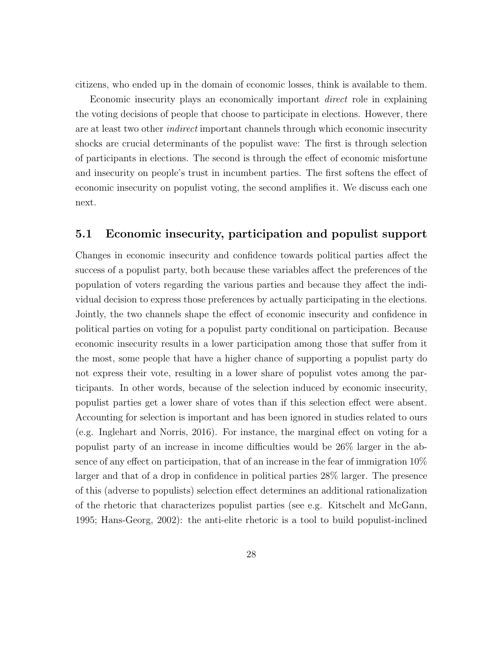citizens, who ended up in the domain of economic losses, think is available to them.

Economic insecurity plays an economically important direct role in explaining the voting decisions of people that choose to participate in elections. However, there are at least two other *indirect* important channels through which economic insecurity shocks are crucial determinants of the populist wave: The first is through selection of participants in elections. The second is through the effect of economic misfortune and insecurity on people's trust in incumbent parties. The first softens the effect of economic insecurity on populist voting, the second amplifies it. We discuss each one next.

#### 5.1 Economic insecurity, participation and populist support

Changes in economic insecurity and confidence towards political parties affect the success of a populist party, both because these variables affect the preferences of the population of voters regarding the various parties and because they affect the individual decision to express those preferences by actually participating in the elections. Jointly, the two channels shape the effect of economic insecurity and confidence in political parties on voting for a populist party conditional on participation. Because economic insecurity results in a lower participation among those that suffer from it the most, some people that have a higher chance of supporting a populist party do not express their vote, resulting in a lower share of populist votes among the participants. In other words, because of the selection induced by economic insecurity, populist parties get a lower share of votes than if this selection effect were absent. Accounting for selection is important and has been ignored in studies related to ours (e.g. Inglehart and Norris, 2016). For instance, the marginal effect on voting for a populist party of an increase in income difficulties would be 26% larger in the absence of any effect on participation, that of an increase in the fear of immigration 10% larger and that of a drop in confidence in political parties 28% larger. The presence of this (adverse to populists) selection effect determines an additional rationalization of the rhetoric that characterizes populist parties (see e.g. Kitschelt and McGann, 1995; Hans-Georg, 2002): the anti-elite rhetoric is a tool to build populist-inclined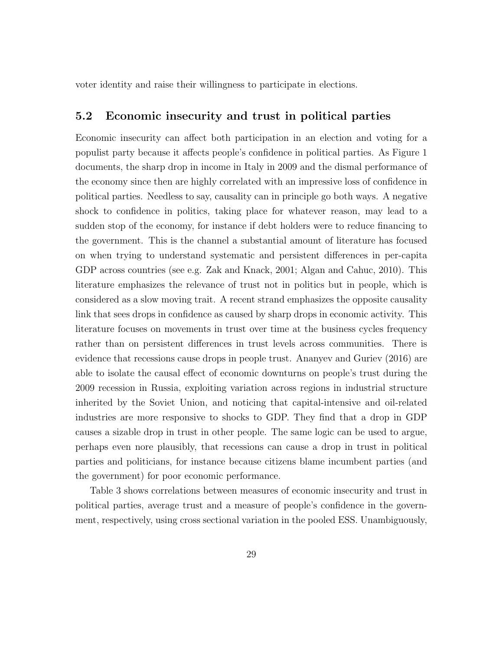voter identity and raise their willingness to participate in elections.

#### 5.2 Economic insecurity and trust in political parties

Economic insecurity can affect both participation in an election and voting for a populist party because it affects people's confidence in political parties. As Figure 1 documents, the sharp drop in income in Italy in 2009 and the dismal performance of the economy since then are highly correlated with an impressive loss of confidence in political parties. Needless to say, causality can in principle go both ways. A negative shock to confidence in politics, taking place for whatever reason, may lead to a sudden stop of the economy, for instance if debt holders were to reduce financing to the government. This is the channel a substantial amount of literature has focused on when trying to understand systematic and persistent differences in per-capita GDP across countries (see e.g. Zak and Knack, 2001; Algan and Cahuc, 2010). This literature emphasizes the relevance of trust not in politics but in people, which is considered as a slow moving trait. A recent strand emphasizes the opposite causality link that sees drops in confidence as caused by sharp drops in economic activity. This literature focuses on movements in trust over time at the business cycles frequency rather than on persistent differences in trust levels across communities. There is evidence that recessions cause drops in people trust. Ananyev and Guriev (2016) are able to isolate the causal effect of economic downturns on people's trust during the 2009 recession in Russia, exploiting variation across regions in industrial structure inherited by the Soviet Union, and noticing that capital-intensive and oil-related industries are more responsive to shocks to GDP. They find that a drop in GDP causes a sizable drop in trust in other people. The same logic can be used to argue, perhaps even nore plausibly, that recessions can cause a drop in trust in political parties and politicians, for instance because citizens blame incumbent parties (and the government) for poor economic performance.

Table 3 shows correlations between measures of economic insecurity and trust in political parties, average trust and a measure of people's confidence in the government, respectively, using cross sectional variation in the pooled ESS. Unambiguously,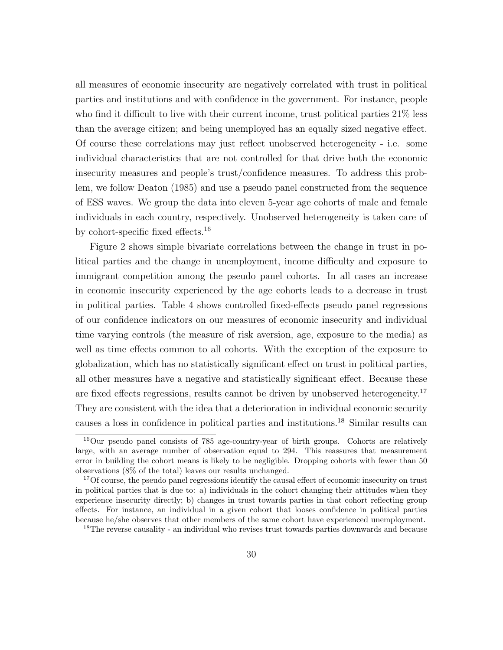all measures of economic insecurity are negatively correlated with trust in political parties and institutions and with confidence in the government. For instance, people who find it difficult to live with their current income, trust political parties  $21\%$  less than the average citizen; and being unemployed has an equally sized negative effect. Of course these correlations may just reflect unobserved heterogeneity - i.e. some individual characteristics that are not controlled for that drive both the economic insecurity measures and people's trust/confidence measures. To address this problem, we follow Deaton (1985) and use a pseudo panel constructed from the sequence of ESS waves. We group the data into eleven 5-year age cohorts of male and female individuals in each country, respectively. Unobserved heterogeneity is taken care of by cohort-specific fixed effects.<sup>16</sup>

Figure 2 shows simple bivariate correlations between the change in trust in political parties and the change in unemployment, income difficulty and exposure to immigrant competition among the pseudo panel cohorts. In all cases an increase in economic insecurity experienced by the age cohorts leads to a decrease in trust in political parties. Table 4 shows controlled fixed-effects pseudo panel regressions of our confidence indicators on our measures of economic insecurity and individual time varying controls (the measure of risk aversion, age, exposure to the media) as well as time effects common to all cohorts. With the exception of the exposure to globalization, which has no statistically significant effect on trust in political parties, all other measures have a negative and statistically significant effect. Because these are fixed effects regressions, results cannot be driven by unobserved heterogeneity.<sup>17</sup> They are consistent with the idea that a deterioration in individual economic security causes a loss in confidence in political parties and institutions.<sup>18</sup> Similar results can

<sup>16</sup>Our pseudo panel consists of 785 age-country-year of birth groups. Cohorts are relatively large, with an average number of observation equal to 294. This reassures that measurement error in building the cohort means is likely to be negligible. Dropping cohorts with fewer than 50 observations (8% of the total) leaves our results unchanged.

<sup>&</sup>lt;sup>17</sup>Of course, the pseudo panel regressions identify the causal effect of economic insecurity on trust in political parties that is due to: a) individuals in the cohort changing their attitudes when they experience insecurity directly; b) changes in trust towards parties in that cohort reflecting group effects. For instance, an individual in a given cohort that looses confidence in political parties because he/she observes that other members of the same cohort have experienced unemployment.

<sup>&</sup>lt;sup>18</sup>The reverse causality - an individual who revises trust towards parties downwards and because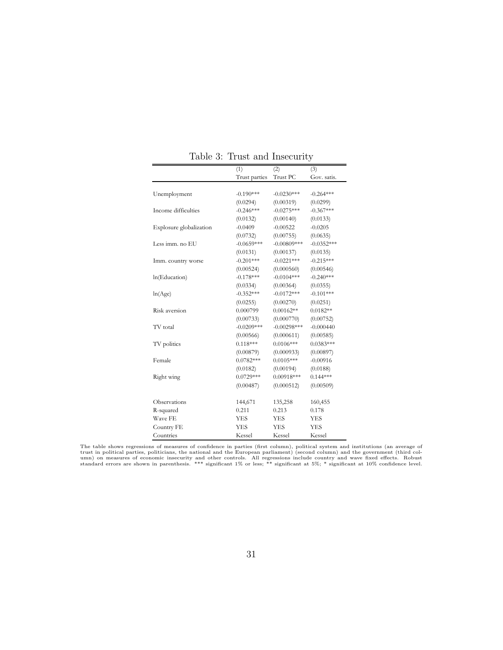|                         | (1)           | (2)           | (3)          |
|-------------------------|---------------|---------------|--------------|
|                         | Trust parties | Trust PC      | Gov. satis.  |
|                         |               |               |              |
| Unemployment            | $-0.190***$   | $-0.0230***$  | $-0.264***$  |
|                         | (0.0294)      | (0.00319)     | (0.0299)     |
| Income difficulties     | $-0.246***$   | $-0.0275***$  | $-0.367***$  |
|                         | (0.0132)      | (0.00140)     | (0.0133)     |
| Explosure globalization | $-0.0409$     | $-0.00522$    | $-0.0205$    |
|                         | (0.0732)      | (0.00755)     | (0.0635)     |
| Less imm. no EU         | $-0.0659***$  | $-0.00809***$ | $-0.0352***$ |
|                         | (0.0131)      | (0.00137)     | (0.0135)     |
| Imm. country worse      | $-0.201***$   | $-0.0221***$  | $-0.215***$  |
|                         | (0.00524)     | (0.000560)    | (0.00546)    |
| In(Education)           | $-0.178***$   | $-0.0104***$  | $-0.240***$  |
|                         | (0.0334)      | (0.00364)     | (0.0355)     |
| ln(Age)                 | $-0.352***$   | $-0.0172***$  | $-0.101***$  |
|                         | (0.0255)      | (0.00270)     | (0.0251)     |
| Risk aversion           | 0.000799      | $0.00162**$   | $0.0182**$   |
|                         | (0.00733)     | (0.000770)    | (0.00752)    |
| TV total                | $-0.0209***$  | $-0.00298***$ | $-0.000440$  |
|                         | (0.00566)     | (0.000611)    | (0.00585)    |
| TV politics             | $0.118***$    | $0.0106***$   | $0.0383***$  |
|                         | (0.00879)     | (0.000933)    | (0.00897)    |
| Female                  | $0.0782***$   | $0.0105***$   | $-0.00916$   |
|                         | (0.0182)      | (0.00194)     | (0.0188)     |
| Right wing              | $0.0729***$   | $0.00918***$  | $0.144***$   |
|                         | (0.00487)     | (0.000512)    | (0.00509)    |
|                         |               |               |              |
| Observations            | 144,671       | 135,258       | 160,455      |
| R-squared               | 0.211         | 0.213         | 0.178        |
| Wave FE                 | <b>YES</b>    | <b>YES</b>    | <b>YES</b>   |
| Country FE              | <b>YES</b>    | <b>YES</b>    | <b>YES</b>   |
| Countries               | Kessel        | Kessel        | Kessel       |

Table 3: Trust and Insecurity

The table shows regressions of measures of confidence in parties (first column), political system and institutions (an average of<br>trust in political parties, politicians, the national and the European parliament) (second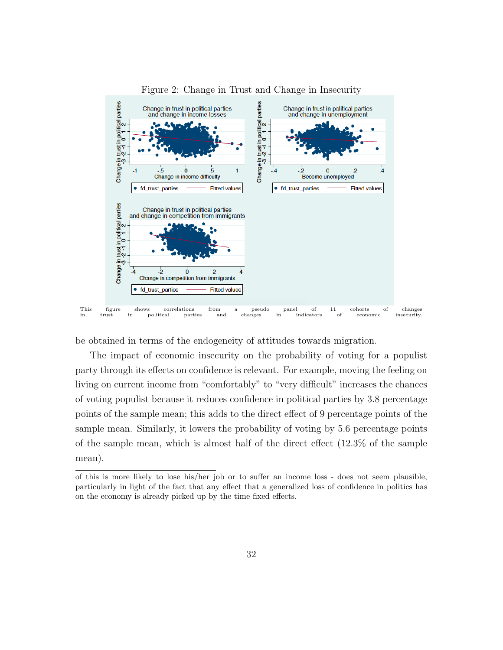

#### Figure 2: Change in Trust and Change in Insecurity

be obtained in terms of the endogeneity of attitudes towards migration.

The impact of economic insecurity on the probability of voting for a populist party through its effects on confidence is relevant. For example, moving the feeling on living on current income from "comfortably" to "very difficult" increases the chances of voting populist because it reduces confidence in political parties by 3.8 percentage points of the sample mean; this adds to the direct effect of 9 percentage points of the sample mean. Similarly, it lowers the probability of voting by 5.6 percentage points of the sample mean, which is almost half of the direct effect (12.3% of the sample mean).

of this is more likely to lose his/her job or to suffer an income loss - does not seem plausible, particularly in light of the fact that any effect that a generalized loss of confidence in politics has on the economy is already picked up by the time fixed effects.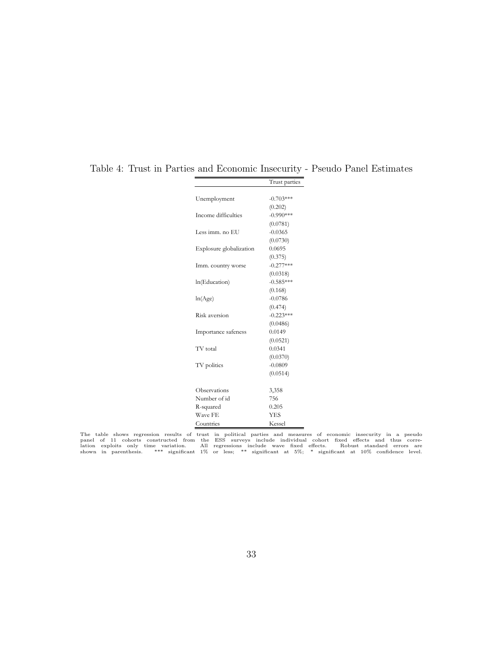|                         | Trust parties |
|-------------------------|---------------|
|                         |               |
| Unemployment            | $-0.703***$   |
|                         | (0.202)       |
| Income difficulties     | $-0.990***$   |
|                         | (0.0781)      |
| Less imm. no EU         | $-0.0365$     |
|                         | (0.0730)      |
| Explosure globalization | 0.0695        |
|                         | (0.375)       |
| Imm. country worse      | $-0.277***$   |
|                         | (0.0318)      |
| ln(Education)           | $-0.585***$   |
|                         | (0.168)       |
| ln(Age)                 | $-0.0786$     |
|                         | (0.474)       |
| Risk aversion           | $-0.223***$   |
|                         | (0.0486)      |
| Importance safeness     | 0.0149        |
|                         | (0.0521)      |
| TV total                | 0.0341        |
|                         | (0.0370)      |
| TV politics             | $-0.0809$     |
|                         | (0.0514)      |
|                         |               |
| Observations            | 3,358         |
| Number of id            | 756           |
| R-squared               | 0.205         |
| Wave FE                 | <b>YES</b>    |
| Countries               | Kessel        |

Table 4: Trust in Parties and Economic Insecurity - Pseudo Panel Estimates

The table shows regression results of trust in political parties and measures of economic insecurity in a pseudo<br>panel of 11 cohorts constructed from the ESS surveys include individual cohort fixed effects and thus corre-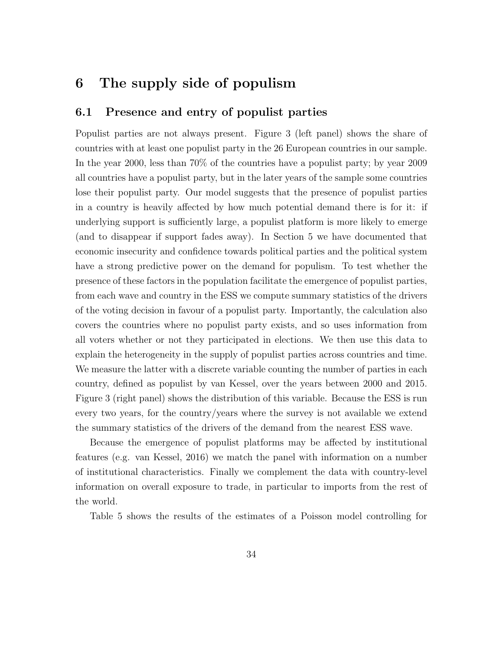# 6 The supply side of populism

### 6.1 Presence and entry of populist parties

Populist parties are not always present. Figure 3 (left panel) shows the share of countries with at least one populist party in the 26 European countries in our sample. In the year 2000, less than 70% of the countries have a populist party; by year 2009 all countries have a populist party, but in the later years of the sample some countries lose their populist party. Our model suggests that the presence of populist parties in a country is heavily affected by how much potential demand there is for it: if underlying support is sufficiently large, a populist platform is more likely to emerge (and to disappear if support fades away). In Section 5 we have documented that economic insecurity and confidence towards political parties and the political system have a strong predictive power on the demand for populism. To test whether the presence of these factors in the population facilitate the emergence of populist parties, from each wave and country in the ESS we compute summary statistics of the drivers of the voting decision in favour of a populist party. Importantly, the calculation also covers the countries where no populist party exists, and so uses information from all voters whether or not they participated in elections. We then use this data to explain the heterogeneity in the supply of populist parties across countries and time. We measure the latter with a discrete variable counting the number of parties in each country, defined as populist by van Kessel, over the years between 2000 and 2015. Figure 3 (right panel) shows the distribution of this variable. Because the ESS is run every two years, for the country/years where the survey is not available we extend the summary statistics of the drivers of the demand from the nearest ESS wave.

Because the emergence of populist platforms may be affected by institutional features (e.g. van Kessel, 2016) we match the panel with information on a number of institutional characteristics. Finally we complement the data with country-level information on overall exposure to trade, in particular to imports from the rest of the world.

Table 5 shows the results of the estimates of a Poisson model controlling for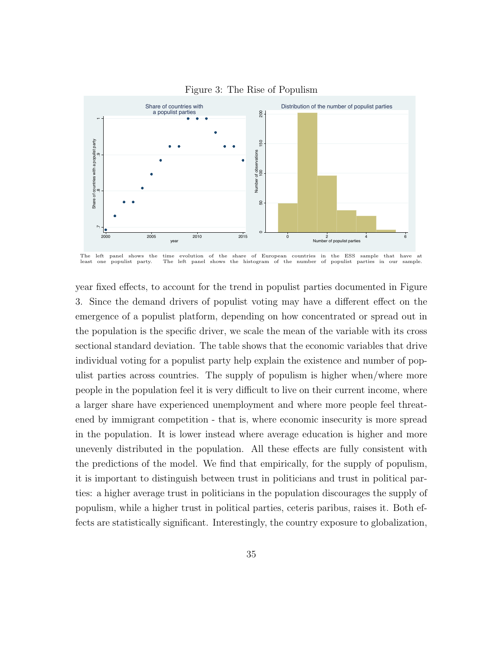

Figure 3: The Rise of Populism

year fixed effects, to account for the trend in populist parties documented in Figure 3. Since the demand drivers of populist voting may have a different effect on the emergence of a populist platform, depending on how concentrated or spread out in the population is the specific driver, we scale the mean of the variable with its cross sectional standard deviation. The table shows that the economic variables that drive individual voting for a populist party help explain the existence and number of populist parties across countries. The supply of populism is higher when/where more people in the population feel it is very difficult to live on their current income, where a larger share have experienced unemployment and where more people feel threatened by immigrant competition - that is, where economic insecurity is more spread in the population. It is lower instead where average education is higher and more unevenly distributed in the population. All these effects are fully consistent with the predictions of the model. We find that empirically, for the supply of populism, it is important to distinguish between trust in politicians and trust in political parties: a higher average trust in politicians in the population discourages the supply of populism, while a higher trust in political parties, ceteris paribus, raises it. Both effects are statistically significant. Interestingly, the country exposure to globalization,

The left panel shows the time evolution of the share of European countries in the ESS sample that have at least one populist party. The left panel shows the histogram of the number of populist parties in our sample.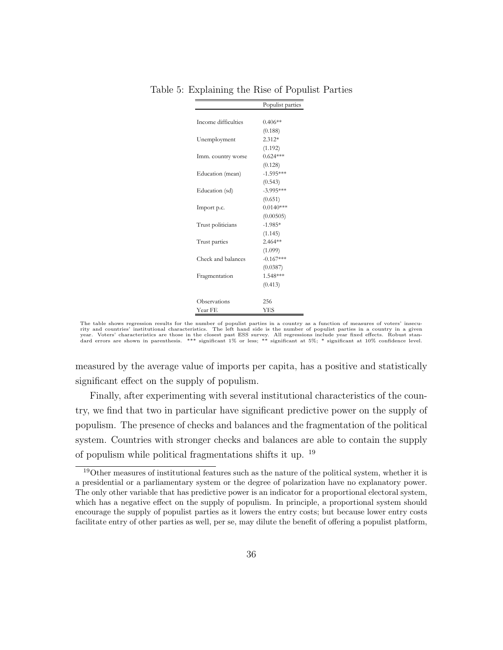|                     | Populist parties |
|---------------------|------------------|
|                     |                  |
| Income difficulties | $0.406**$        |
|                     | (0.188)          |
| Unemployment        | $2.312*$         |
|                     | (1.192)          |
| Imm. country worse  | $0.624***$       |
|                     | (0.128)          |
| Education (mean)    | $-1.595***$      |
|                     | (0.543)          |
| Education (sd)      | $-3.995***$      |
|                     | (0.651)          |
| Import p.c.         | $0.0140***$      |
|                     | (0.00505)        |
| Trust politicians   | $-1.985*$        |
|                     | (1.145)          |
| Trust parties       | $2.464**$        |
|                     | (1.099)          |
| Check and balances  | $-0.167***$      |
|                     | (0.0387)         |
| Fragmentation       | 1.548***         |
|                     | (0.413)          |
|                     |                  |
| Observations        | 256              |
| Year FE             | YES              |

Table 5: Explaining the Rise of Populist Parties

The table shows regression results for the number of populist parties in a country as a function of measures of voters' insecurity and countries' institutional characteristics. The left hand side is the number of populist parties in a country in a given year. Voters' characteristics are those in the closest past ESS survey. All regressions include year fixed effects. Robust stan-<br>dard errors are shown in parenthesis. \*\*\* significant 1% or less; \*\* significant at 5%; \* sig

measured by the average value of imports per capita, has a positive and statistically significant effect on the supply of populism.

Finally, after experimenting with several institutional characteristics of the country, we find that two in particular have significant predictive power on the supply of populism. The presence of checks and balances and the fragmentation of the political system. Countries with stronger checks and balances are able to contain the supply of populism while political fragmentations shifts it up. <sup>19</sup>

 $19$ Other measures of institutional features such as the nature of the political system, whether it is a presidential or a parliamentary system or the degree of polarization have no explanatory power. The only other variable that has predictive power is an indicator for a proportional electoral system, which has a negative effect on the supply of populism. In principle, a proportional system should encourage the supply of populist parties as it lowers the entry costs; but because lower entry costs facilitate entry of other parties as well, per se, may dilute the benefit of offering a populist platform,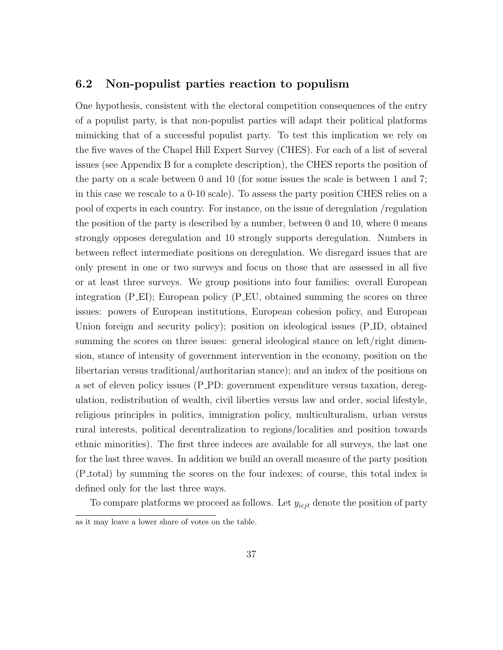#### 6.2 Non-populist parties reaction to populism

One hypothesis, consistent with the electoral competition consequences of the entry of a populist party, is that non-populist parties will adapt their political platforms mimicking that of a successful populist party. To test this implication we rely on the five waves of the Chapel Hill Expert Survey (CHES). For each of a list of several issues (see Appendix B for a complete description), the CHES reports the position of the party on a scale between 0 and 10 (for some issues the scale is between 1 and 7; in this case we rescale to a 0-10 scale). To assess the party position CHES relies on a pool of experts in each country. For instance, on the issue of deregulation /regulation the position of the party is described by a number, between 0 and 10, where 0 means strongly opposes deregulation and 10 strongly supports deregulation. Numbers in between reflect intermediate positions on deregulation. We disregard issues that are only present in one or two surveys and focus on those that are assessed in all five or at least three surveys. We group positions into four families: overall European integration (P EI); European policy (P EU, obtained summing the scores on three issues: powers of European institutions, European cohesion policy, and European Union foreign and security policy); position on ideological issues (P<sub>JD</sub>, obtained summing the scores on three issues: general ideological stance on left/right dimension, stance of intensity of government intervention in the economy, position on the libertarian versus traditional/authoritarian stance); and an index of the positions on a set of eleven policy issues (P PD: government expenditure versus taxation, deregulation, redistribution of wealth, civil liberties versus law and order, social lifestyle, religious principles in politics, immigration policy, multiculturalism, urban versus rural interests, political decentralization to regions/localities and position towards ethnic minorities). The first three indeces are available for all surveys, the last one for the last three waves. In addition we build an overall measure of the party position (P total) by summing the scores on the four indexes; of course, this total index is defined only for the last three ways.

To compare platforms we proceed as follows. Let  $y_{icjt}$  denote the position of party

as it may leave a lower share of votes on the table.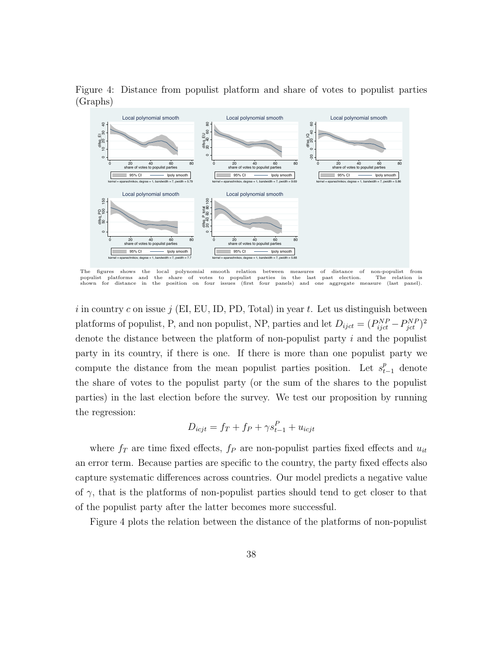Figure 4: Distance from populist platform and share of votes to populist parties (Graphs)



The figures shows the local polynomial smooth relation between measures of distance of non-populist from<br>populist platforms and the share of votes to populist parties in the last past election. The relation is populist platforms and the share of votes to populist parties in the last past election. The relation is shown for distance in the position on four issues (first four panels) and one aggregate measure (last panel).

i in country c on issue  $j$  (EI, EU, ID, PD, Total) in year t. Let us distinguish between platforms of populist, P, and non populist, NP, parties and let  $D_{ijct} = (P_{ijct}^{NP} - P_{jet}^{NP})^2$ denote the distance between the platform of non-populist party i and the populist party in its country, if there is one. If there is more than one populist party we compute the distance from the mean populist parties position. Let  $s_{t-1}^p$  denote the share of votes to the populist party (or the sum of the shares to the populist parties) in the last election before the survey. We test our proposition by running the regression:

$$
D_{icjt} = f_T + f_P + \gamma s_{t-1}^P + u_{icjt}
$$

where  $f_T$  are time fixed effects,  $f_P$  are non-populist parties fixed effects and  $u_{it}$ an error term. Because parties are specific to the country, the party fixed effects also capture systematic differences across countries. Our model predicts a negative value of  $\gamma$ , that is the platforms of non-populist parties should tend to get closer to that of the populist party after the latter becomes more successful.

Figure 4 plots the relation between the distance of the platforms of non-populist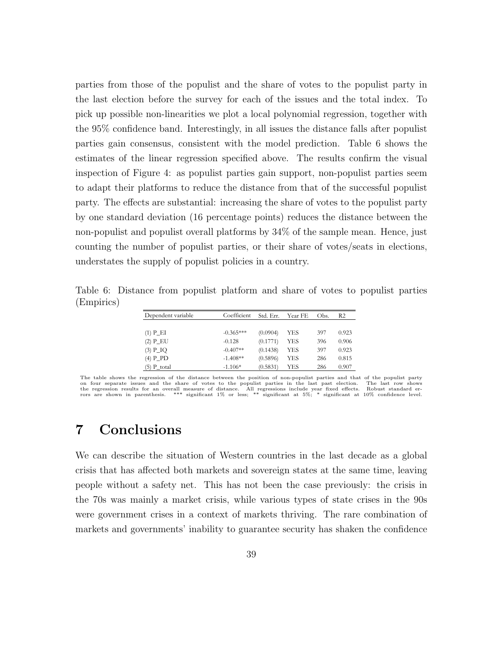parties from those of the populist and the share of votes to the populist party in the last election before the survey for each of the issues and the total index. To pick up possible non-linearities we plot a local polynomial regression, together with the 95% confidence band. Interestingly, in all issues the distance falls after populist parties gain consensus, consistent with the model prediction. Table 6 shows the estimates of the linear regression specified above. The results confirm the visual inspection of Figure 4: as populist parties gain support, non-populist parties seem to adapt their platforms to reduce the distance from that of the successful populist party. The effects are substantial: increasing the share of votes to the populist party by one standard deviation (16 percentage points) reduces the distance between the non-populist and populist overall platforms by 34% of the sample mean. Hence, just counting the number of populist parties, or their share of votes/seats in elections, understates the supply of populist policies in a country.

Table 6: Distance from populist platform and share of votes to populist parties (Empirics)

| Dependent variable | Coefficient | Std. Err. | Year FE | Obs. | R2    |
|--------------------|-------------|-----------|---------|------|-------|
|                    |             |           |         |      |       |
| $(1)$ P_EI         | $-0.365***$ | (0.0904)  | YES     | 397  | 0.923 |
| $(2)$ P_EU         | $-0.128$    | (0.1771)  | YES     | 396  | 0.906 |
| $(3)$ P_IQ         | $-0.407**$  | (0.1438)  | YES     | 397  | 0.923 |
| $(4)$ P_PD         | $-1.408**$  | (0.5896)  | YES     | 286  | 0.815 |
| $(5)$ P total      | $-1.106*$   | (0.5831)  | YES     | 286  | 0.907 |

The table shows the regression of the distance between the position of non-populist parties and that of the populist party on four separate issues and the share of votes to the populist parties in the last past election. The last row shows the regression results for an overall measure of distance. All regressions include year fixed effects. Robust standard er-<br>rors are shown in parenthesis. \*\*\* significant 1% or less; \*\* significant at 5%; \* significant at 1

## 7 Conclusions

We can describe the situation of Western countries in the last decade as a global crisis that has affected both markets and sovereign states at the same time, leaving people without a safety net. This has not been the case previously: the crisis in the 70s was mainly a market crisis, while various types of state crises in the 90s were government crises in a context of markets thriving. The rare combination of markets and governments' inability to guarantee security has shaken the confidence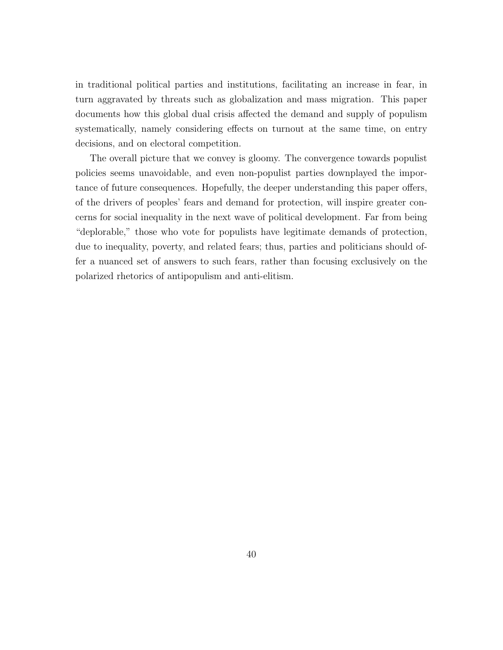in traditional political parties and institutions, facilitating an increase in fear, in turn aggravated by threats such as globalization and mass migration. This paper documents how this global dual crisis affected the demand and supply of populism systematically, namely considering effects on turnout at the same time, on entry decisions, and on electoral competition.

The overall picture that we convey is gloomy. The convergence towards populist policies seems unavoidable, and even non-populist parties downplayed the importance of future consequences. Hopefully, the deeper understanding this paper offers, of the drivers of peoples' fears and demand for protection, will inspire greater concerns for social inequality in the next wave of political development. Far from being "deplorable," those who vote for populists have legitimate demands of protection, due to inequality, poverty, and related fears; thus, parties and politicians should offer a nuanced set of answers to such fears, rather than focusing exclusively on the polarized rhetorics of antipopulism and anti-elitism.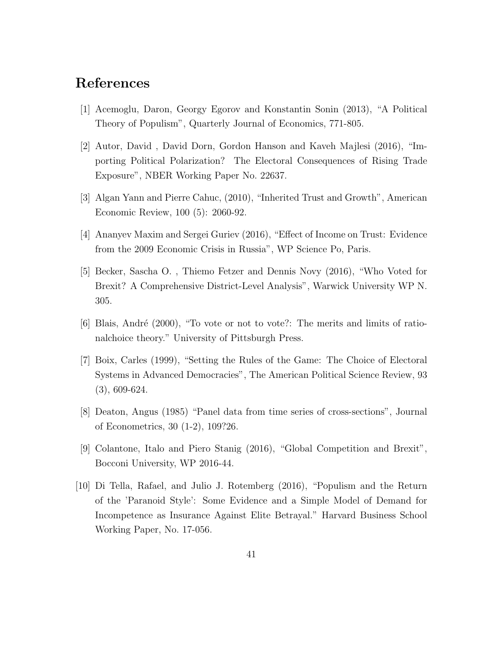### References

- [1] Acemoglu, Daron, Georgy Egorov and Konstantin Sonin (2013), "A Political Theory of Populism", Quarterly Journal of Economics, 771-805.
- [2] Autor, David , David Dorn, Gordon Hanson and Kaveh Majlesi (2016), "Importing Political Polarization? The Electoral Consequences of Rising Trade Exposure", NBER Working Paper No. 22637.
- [3] Algan Yann and Pierre Cahuc, (2010), "Inherited Trust and Growth", American Economic Review, 100 (5): 2060-92.
- [4] Ananyev Maxim and Sergei Guriev (2016), "Effect of Income on Trust: Evidence from the 2009 Economic Crisis in Russia", WP Science Po, Paris.
- [5] Becker, Sascha O. , Thiemo Fetzer and Dennis Novy (2016), "Who Voted for Brexit? A Comprehensive District-Level Analysis", Warwick University WP N. 305.
- $[6]$  Blais, André (2000), "To vote or not to vote?: The merits and limits of rationalchoice theory." University of Pittsburgh Press.
- [7] Boix, Carles (1999), "Setting the Rules of the Game: The Choice of Electoral Systems in Advanced Democracies", The American Political Science Review, 93 (3), 609-624.
- [8] Deaton, Angus (1985) "Panel data from time series of cross-sections", Journal of Econometrics, 30 (1-2), 109?26.
- [9] Colantone, Italo and Piero Stanig (2016), "Global Competition and Brexit", Bocconi University, WP 2016-44.
- [10] Di Tella, Rafael, and Julio J. Rotemberg (2016), "Populism and the Return of the 'Paranoid Style': Some Evidence and a Simple Model of Demand for Incompetence as Insurance Against Elite Betrayal." Harvard Business School Working Paper, No. 17-056.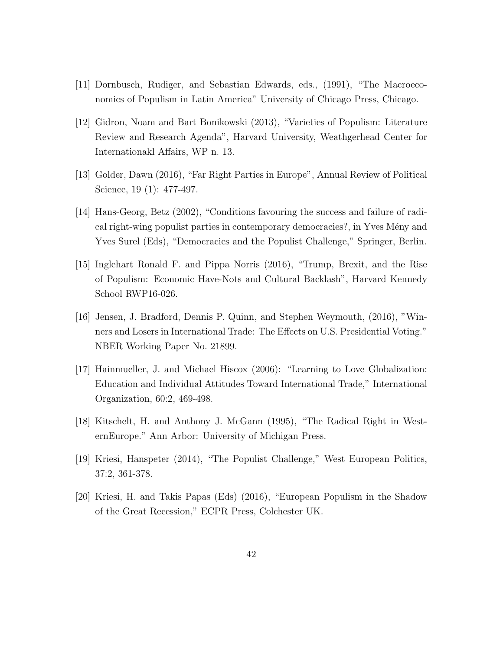- [11] Dornbusch, Rudiger, and Sebastian Edwards, eds., (1991), "The Macroeconomics of Populism in Latin America" University of Chicago Press, Chicago.
- [12] Gidron, Noam and Bart Bonikowski (2013), "Varieties of Populism: Literature Review and Research Agenda", Harvard University, Weathgerhead Center for Internationakl Affairs, WP n. 13.
- [13] Golder, Dawn (2016), "Far Right Parties in Europe", Annual Review of Political Science, 19 (1): 477-497.
- [14] Hans-Georg, Betz (2002), "Conditions favouring the success and failure of radical right-wing populist parties in contemporary democracies?, in Yves Mény and Yves Surel (Eds), "Democracies and the Populist Challenge," Springer, Berlin.
- [15] Inglehart Ronald F. and Pippa Norris (2016), "Trump, Brexit, and the Rise of Populism: Economic Have-Nots and Cultural Backlash", Harvard Kennedy School RWP16-026.
- [16] Jensen, J. Bradford, Dennis P. Quinn, and Stephen Weymouth, (2016), "Winners and Losers in International Trade: The Effects on U.S. Presidential Voting." NBER Working Paper No. 21899.
- [17] Hainmueller, J. and Michael Hiscox (2006): "Learning to Love Globalization: Education and Individual Attitudes Toward International Trade," International Organization, 60:2, 469-498.
- [18] Kitschelt, H. and Anthony J. McGann (1995), "The Radical Right in WesternEurope." Ann Arbor: University of Michigan Press.
- [19] Kriesi, Hanspeter (2014), "The Populist Challenge," West European Politics, 37:2, 361-378.
- [20] Kriesi, H. and Takis Papas (Eds) (2016), "European Populism in the Shadow of the Great Recession," ECPR Press, Colchester UK.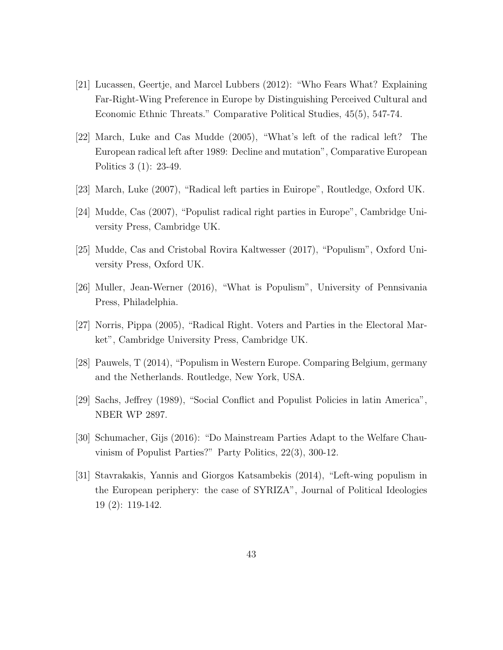- [21] Lucassen, Geertje, and Marcel Lubbers (2012): "Who Fears What? Explaining Far-Right-Wing Preference in Europe by Distinguishing Perceived Cultural and Economic Ethnic Threats." Comparative Political Studies, 45(5), 547-74.
- [22] March, Luke and Cas Mudde (2005), "What's left of the radical left? The European radical left after 1989: Decline and mutation", Comparative European Politics 3 (1): 23-49.
- [23] March, Luke (2007), "Radical left parties in Euirope", Routledge, Oxford UK.
- [24] Mudde, Cas (2007), "Populist radical right parties in Europe", Cambridge University Press, Cambridge UK.
- [25] Mudde, Cas and Cristobal Rovira Kaltwesser (2017), "Populism", Oxford University Press, Oxford UK.
- [26] Muller, Jean-Werner (2016), "What is Populism", University of Pennsivania Press, Philadelphia.
- [27] Norris, Pippa (2005), "Radical Right. Voters and Parties in the Electoral Market", Cambridge University Press, Cambridge UK.
- [28] Pauwels, T (2014), "Populism in Western Europe. Comparing Belgium, germany and the Netherlands. Routledge, New York, USA.
- [29] Sachs, Jeffrey (1989), "Social Conflict and Populist Policies in latin America", NBER WP 2897.
- [30] Schumacher, Gijs (2016): "Do Mainstream Parties Adapt to the Welfare Chauvinism of Populist Parties?" Party Politics, 22(3), 300-12.
- [31] Stavrakakis, Yannis and Giorgos Katsambekis (2014), "Left-wing populism in the European periphery: the case of SYRIZA", Journal of Political Ideologies 19 (2): 119-142.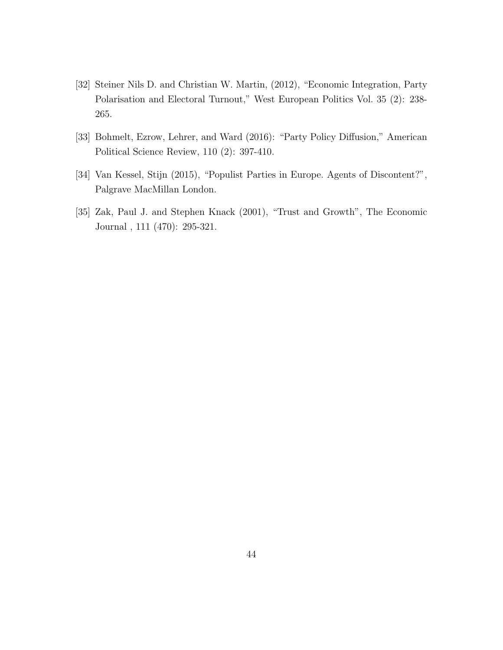- [32] Steiner Nils D. and Christian W. Martin, (2012), "Economic Integration, Party Polarisation and Electoral Turnout," West European Politics Vol. 35 (2): 238- 265.
- [33] Bohmelt, Ezrow, Lehrer, and Ward (2016): "Party Policy Diffusion," American Political Science Review, 110 (2): 397-410.
- [34] Van Kessel, Stijn (2015), "Populist Parties in Europe. Agents of Discontent?", Palgrave MacMillan London.
- [35] Zak, Paul J. and Stephen Knack (2001), "Trust and Growth", The Economic Journal , 111 (470): 295-321.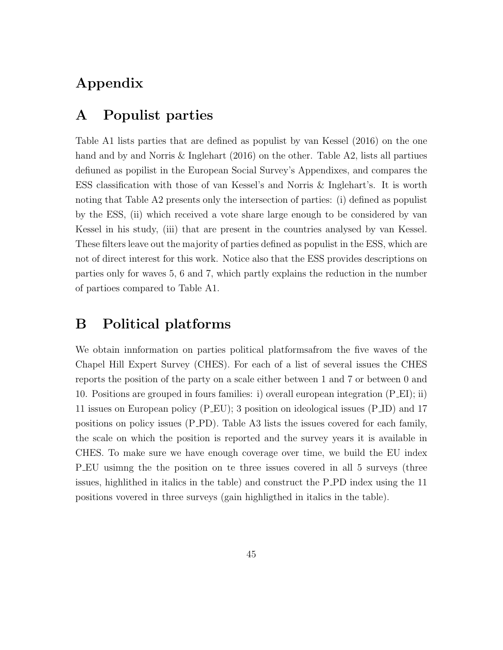# Appendix

### A Populist parties

Table A1 lists parties that are defined as populist by van Kessel (2016) on the one hand and by and Norris & Inglehart (2016) on the other. Table A2, lists all partiues defiuned as popilist in the European Social Survey's Appendixes, and compares the ESS classification with those of van Kessel's and Norris & Inglehart's. It is worth noting that Table A2 presents only the intersection of parties: (i) defined as populist by the ESS, (ii) which received a vote share large enough to be considered by van Kessel in his study, (iii) that are present in the countries analysed by van Kessel. These filters leave out the majority of parties defined as populist in the ESS, which are not of direct interest for this work. Notice also that the ESS provides descriptions on parties only for waves 5, 6 and 7, which partly explains the reduction in the number of partioes compared to Table A1.

### B Political platforms

We obtain innformation on parties political platformsafrom the five waves of the Chapel Hill Expert Survey (CHES). For each of a list of several issues the CHES reports the position of the party on a scale either between 1 and 7 or between 0 and 10. Positions are grouped in fours families: i) overall european integration (P EI); ii) 11 issues on European policy (P EU); 3 position on ideological issues (P ID) and 17 positions on policy issues (P PD). Table A3 lists the issues covered for each family, the scale on which the position is reported and the survey years it is available in CHES. To make sure we have enough coverage over time, we build the EU index P EU usimng the the position on te three issues covered in all 5 surveys (three issues, highlithed in italics in the table) and construct the P PD index using the 11 positions vovered in three surveys (gain highligthed in italics in the table).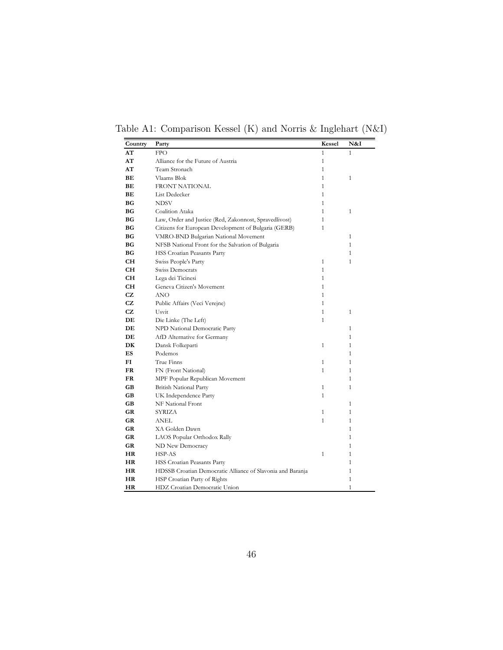Table A1: Comparison Kessel (K) and Norris & Inglehart (N&I)

| Country   | Party                                                      | Kessel       | N&I          |
|-----------|------------------------------------------------------------|--------------|--------------|
| AT        | <b>FPO</b>                                                 | 1            | $\mathbf{1}$ |
| AT        | Alliance for the Future of Austria                         | $\mathbf{1}$ |              |
| AT        | Team Stronach                                              | $\mathbf{1}$ |              |
| BЕ        | Vlaams Blok                                                | $\mathbf{1}$ | $\mathbf{1}$ |
| BЕ        | FRONT NATIONAL                                             | $\mathbf{1}$ |              |
| BЕ        | List Dedecker                                              | 1            |              |
| ВG        | <b>NDSV</b>                                                | $\mathbf{1}$ |              |
| ВG        | Coalition Ataka                                            | 1            | $\mathbf{1}$ |
| ВG        | Law, Order and Justice (Red, Zakonnost, Spravedlivost)     | $\mathbf{1}$ |              |
| ВG        | Citizens for European Development of Bulgaria (GERB)       | $\mathbf{1}$ |              |
| ВG        | VMRO-BND Bulgarian National Movement                       |              | 1            |
| ВG        | NFSB National Front for the Salvation of Bulgaria          |              | 1            |
| ВG        | HSS Croatian Peasants Party                                |              | 1            |
| CН        | Swiss People's Party                                       | 1            | 1            |
| CН        | Swiss Democrats                                            | $\mathbf{1}$ |              |
| CН        | Lega dei Ticinesi                                          | $\mathbf{1}$ |              |
| CН        | Geneva Citizen's Movement                                  | 1            |              |
| CZ        | ANO                                                        | 1            |              |
| CZ        | Public Affairs (Veci Verejne)                              | $\mathbf{1}$ |              |
| CZ        | Usvit                                                      | $\mathbf{1}$ | $\mathbf{1}$ |
| DE        | Die Linke (The Left)                                       | $\mathbf{1}$ |              |
| DE        | NPD National Democratic Party                              |              | $\mathbf{1}$ |
| DE        | AfD Alternative for Germany                                |              | $\mathbf{1}$ |
| DK        | Dansk Folkeparti                                           | $\mathbf{1}$ | $\mathbf{1}$ |
| <b>ES</b> | Podemos                                                    |              | $\mathbf{1}$ |
| FI        | True Finns                                                 | $\mathbf{1}$ | $\mathbf{1}$ |
| FR        | FN (Front National)                                        | $\mathbf{1}$ | $\mathbf{1}$ |
| FR        | MPF Popular Republican Movement                            |              | $\mathbf{1}$ |
| GB        | <b>British National Party</b>                              | $\mathbf{1}$ | $\mathbf{1}$ |
| GB        | UK Independence Party                                      | $\mathbf{1}$ |              |
| GB        | NF National Front                                          |              | $\mathbf{1}$ |
| GR        | SYRIZA                                                     | $\mathbf{1}$ | $\mathbf{1}$ |
| GR        | ANEL.                                                      | $\mathbf{1}$ | $\mathbf{1}$ |
| GR        | XA Golden Dawn                                             |              | $\mathbf{1}$ |
| GR        | LAOS Popular Orthodox Rally                                |              | 1            |
| GR        | ND New Democracy                                           |              | $\mathbf{1}$ |
| HR        | HSP-AS                                                     | $\mathbf{1}$ | 1            |
| HR        | HSS Croatian Peasants Party                                |              | 1            |
| HR        | HDSSB Croatian Democratic Alliance of Slavonia and Baranja |              | 1            |
| HR        | HSP Croatian Party of Rights                               |              | $\mathbf{1}$ |
| HR        | HDZ Croatian Democratic Union                              |              | 1            |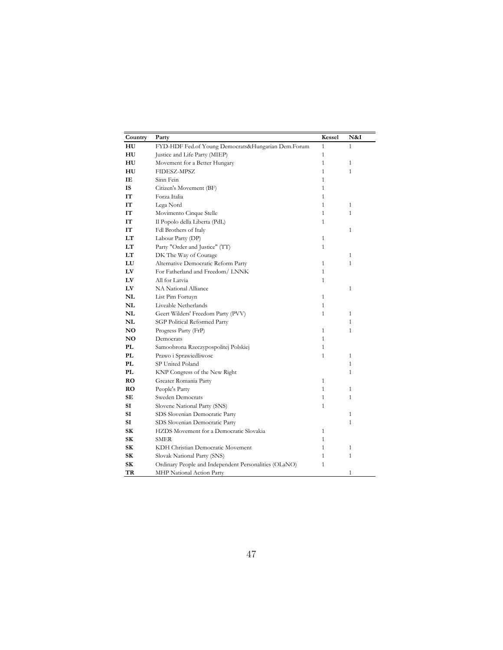| Country        | Party                                                 | Kessel       | N&I          |
|----------------|-------------------------------------------------------|--------------|--------------|
| HU             | FYD-HDF Fed.of Young Democrats&Hungarian Dem.Forum    | $\mathbf{1}$ | 1            |
| HU             | Justice and Life Party (MIEP)                         | $\mathbf{1}$ |              |
| HU             | Movement for a Better Hungary                         | $\mathbf{1}$ | $\mathbf{1}$ |
| HU             | FIDESZ-MPSZ                                           | $\mathbf{1}$ | 1            |
| IE             | Sinn Fein                                             | $\mathbf{1}$ |              |
| IS             | Citizen's Movement (BF)                               | $\mathbf{1}$ |              |
| IT             | Forza Italia                                          | $\mathbf{1}$ |              |
| ľТ             | Lega Nord                                             | $\mathbf{1}$ | $\mathbf{1}$ |
| ľТ             | Movimento Cinque Stelle                               | $\mathbf{1}$ | $\mathbf{1}$ |
| ľТ             | Il Popolo della Liberta (PdL)                         | $\mathbf{1}$ |              |
| IT             | Fdl Brothers of Italy                                 |              | $\mathbf{1}$ |
| LT             | Labour Party (DP)                                     | $\mathbf{1}$ |              |
| LT             | Party "Order and Justice" (TT)                        | $\mathbf{1}$ |              |
| LT             | DK The Way of Courage                                 |              | $\mathbf{1}$ |
| LU             | Alternative Democratic Reform Party                   | 1            | $\mathbf{1}$ |
| LV             | For Fatherland and Freedom/ LNNK                      | $\mathbf{1}$ |              |
| LV             | All for Latvia                                        | $\mathbf{1}$ |              |
| LV             | NA National Alliance                                  |              | $\mathbf{1}$ |
| NL             | List Pim Fortuyn                                      | $\mathbf{1}$ |              |
| NL             | Liveable Netherlands                                  | $\mathbf{1}$ |              |
| NL             | Geert Wilders' Freedom Party (PVV)                    | $\mathbf{1}$ | $\mathbf{1}$ |
| NL             | SGP Political Reformed Party                          |              | 1            |
| NO             | Progress Party (FrP)                                  | $\mathbf{1}$ | $\mathbf{1}$ |
| N <sub>O</sub> | Democrats                                             | $\mathbf{1}$ |              |
| PL             | Samoobrona Rzeczypospolitej Polskiej                  | $\mathbf{1}$ |              |
| PL             | Prawo i Sprawiedliwosc                                | 1            | 1            |
| PL             | SP United Poland                                      |              | $\mathbf{1}$ |
| PL             | KNP Congress of the New Right                         |              | $\mathbf{1}$ |
| RO             | Greater Romania Party                                 | $\mathbf{1}$ |              |
| RO             | People's Party                                        | $\mathbf{1}$ | $\mathbf{1}$ |
| SE             | Sweden Democrats                                      | $\mathbf{1}$ | $\mathbf{1}$ |
| SI             | Slovene National Party (SNS)                          | $\mathbf{1}$ |              |
| SI             | SDS Slovenian Democratic Party                        |              | $\mathbf{1}$ |
| SI             | SDS Slovenian Democratic Party                        |              | $\mathbf{1}$ |
| SK             | HZDS Movement for a Democratic Slovakia               | $\mathbf{1}$ |              |
| SK             | <b>SMER</b>                                           | $\mathbf{1}$ |              |
| SК             | KDH Christian Democratic Movement                     | $\mathbf{1}$ | $\mathbf{1}$ |
| SК             | Slovak National Party (SNS)                           | $\mathbf{1}$ | $\mathbf{1}$ |
| SК             | Ordinary People and Independent Personalities (OLaNO) | $\mathbf{1}$ |              |
| TR             | MHP National Action Party                             |              | 1            |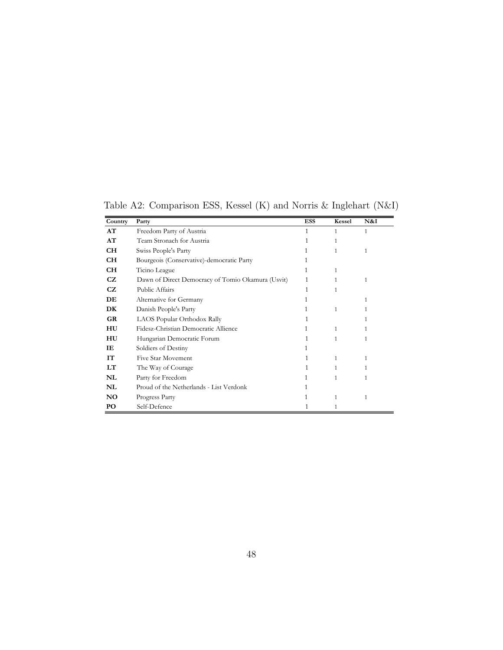| Country   | Party                                             | <b>ESS</b> | <b>Kessel</b> | N&I |
|-----------|---------------------------------------------------|------------|---------------|-----|
| AT        | Freedom Party of Austria                          | 1          | 1             | 1   |
| AT        | Team Stronach for Austria                         |            | 1             |     |
| CH        | Swiss People's Party                              |            | 1             | 1   |
| <b>CH</b> | Bourgeois (Conservative)-democratic Party         | 1          |               |     |
| <b>CH</b> | Ticino League                                     | 1          | 1             |     |
| CZ.       | Dawn of Direct Democracy of Tomio Okamura (Usvit) | 1          | 1             | 1   |
| CZ.       | Public Affairs                                    |            | 1             |     |
| DE        | Alternative for Germany                           | 1          |               | 1   |
| DK        | Danish People's Party                             | 1          | 1             | 1   |
| <b>GR</b> | LAOS Popular Orthodox Rally                       |            |               | 1   |
| HU        | Fidesz-Christian Democratic Allience              | 1          | 1             |     |
| HU        | Hungarian Democratic Forum                        | 1          | 1             | 1   |
| IЕ        | Soldiers of Destiny                               |            |               |     |
| IT        | Five Star Movement                                | 1          | 1             | 1   |
| LT        | The Way of Courage                                |            | 1             | 1   |
| NL        | Party for Freedom                                 |            | 1             | 1   |
| NL        | Proud of the Netherlands - List Verdonk           |            |               |     |
| <b>NO</b> | Progress Party                                    | 1          | 1             | 1   |
| PO        | Self-Defence                                      |            | 1             |     |

Table A2: Comparison ESS, Kessel (K) and Norris & Inglehart (N&I)